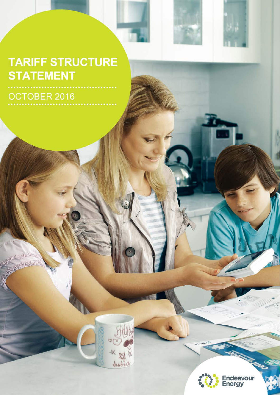## **TARIFF STRUCTURE STATEMENT**

OCTOBER 2016



 $J_{46}b_{6}^{3}a$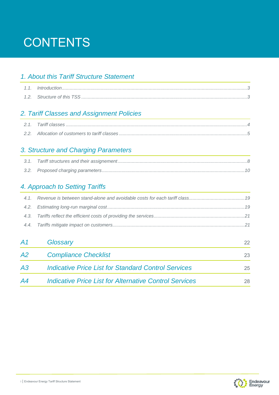## **CONTENTS**

#### *1. About this Tariff Structure Statement*

#### *2. Tariff Classes and Assignment Policies*

#### *3. Structure and Charging Parameters*

#### *4. Approach to Setting Tariffs*

| Glossary                                                      | 22 <sub>2</sub> |
|---------------------------------------------------------------|-----------------|
| <b>Compliance Checklist</b>                                   | 23              |
| <b>Indicative Price List for Standard Control Services</b>    | 25              |
| <b>Indicative Price List for Alternative Control Services</b> | 28              |
|                                                               |                 |

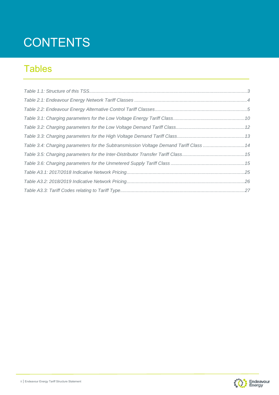## **CONTENTS**

### **Tables**

| Table 3.4: Charging parameters for the Subtransmission Voltage Demand Tariff Class 14 |  |
|---------------------------------------------------------------------------------------|--|
|                                                                                       |  |
|                                                                                       |  |
|                                                                                       |  |
|                                                                                       |  |
|                                                                                       |  |

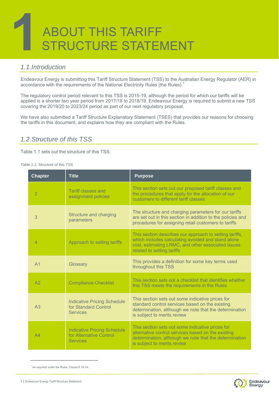# STRUCTURE STATEMENT ABOUT THIS TARIFF

#### *1.1.Introduction*

Endeavour Energy is submitting this Tariff Structure Statement (TSS) to the Australian Energy Regulator (AER) in accordance with the requirements of the National Electricity Rules (the Rules).<sup>1</sup>

The regulatory control period relevant to this TSS is 2015-19, although the period for which our tariffs will be applied is a shorter two year period from 2017/18 to 2018/19. Endeavour Energy is required to submit a new TSS covering the 2019/20 to 2023/24 period as part of our next regulatory proposal.

We have also submitted a Tariff Structure Explanatory Statement (TSES) that provides our reasons for choosing the tariffs in this document, and explains how they are compliant with the Rules.

#### *1.2.Structure of this TSS*

Table 1.1 sets out the structure of this TSS.

#### *Table 1.1: Structure of this TSS*

| <b>Chapter</b>                    | <b>Title</b>                                                                     | <b>Purpose</b>                                                                                                                                                                                    |  |
|-----------------------------------|----------------------------------------------------------------------------------|---------------------------------------------------------------------------------------------------------------------------------------------------------------------------------------------------|--|
| $\overline{2}$                    | <b>Tariff classes and</b><br>assignment policies                                 | This section sets out our proposed tariff classes and<br>the procedures that apply for the allocation of our<br>customers to different tariff classes                                             |  |
| 3                                 | Structure and charging<br>parameters                                             | The structure and charging parameters for our tariffs<br>are set out in this section in addition to the policies and<br>procedures for assigning retail customers to tariffs                      |  |
| Approach to setting tariffs<br>4  |                                                                                  | This section describes our approach to setting tariffs,<br>which includes calculating avoided and stand alone<br>cost, estimating LRMC, and other associated issues<br>related to setting tariffs |  |
| A <sub>1</sub>                    | Glossary                                                                         | This provides a definition for some key terms used<br>throughout this TSS                                                                                                                         |  |
| <b>Compliance Checklist</b><br>A2 |                                                                                  | This section sets out a checklist that identifies whether<br>this TSS meets the requirements in the Rules                                                                                         |  |
| A <sub>3</sub>                    | <b>Indicative Pricing Schedule</b><br>for Standard Control<br><b>Services</b>    | This section sets out some indicative prices for<br>standard control services based on the existing<br>determination, although we note that the determination<br>is subject to merits review      |  |
| A4                                | <b>Indicative Pricing Schedule</b><br>for Alternative Control<br><b>Services</b> | This section sets out some indicative prices for<br>alternative control services based on the existing<br>determination, although we note that the determination<br>is subject to merits review   |  |

<sup>&</sup>lt;sup>1</sup> As required under the Rules, Clause 6.18.1A.

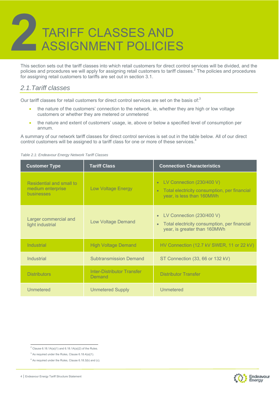# ASSIGNMENT POLICIES TARIFF CLASSES AND

This section sets out the tariff classes into which retail customers for direct control services will be divided, and the policies and procedures we will apply for assigning retail customers to tariff classes.<sup>2</sup> The policies and procedures for assigning retail customers to tariffs are set out in section 3.1.

#### *2.1.Tariff classes*

Our tariff classes for retail customers for direct control services are set on the basis of:<sup>3</sup>

- the nature of the customers' connection to the network, ie, whether they are high or low voltage customers or whether they are metered or unmetered
- the nature and extent of customers' usage, ie, above or below a specified level of consumption per annum.

A summary of our network tariff classes for direct control services is set out in the table below. All of our direct control customers will be assigned to a tariff class for one or more of these services.<sup>4</sup>

| <b>Customer Type</b>                                                      | <b>Tariff Class</b>           | <b>Connection Characteristics</b>                                                                                                   |
|---------------------------------------------------------------------------|-------------------------------|-------------------------------------------------------------------------------------------------------------------------------------|
| Residential and small to<br>medium enterprise<br>businesses               | <b>Low Voltage Energy</b>     | LV Connection (230/400 V)<br>$\bullet$<br>Total electricity consumption, per financial<br>$\bullet$<br>year, is less than 160MWh    |
| Larger commercial and<br>light industrial                                 | <b>Low Voltage Demand</b>     | LV Connection (230/400 V)<br>$\bullet$<br>Total electricity consumption, per financial<br>$\bullet$<br>year, is greater than 160MWh |
| <b>Industrial</b>                                                         | <b>High Voltage Demand</b>    | HV Connection (12.7 kV SWER, 11 or 22 kV)                                                                                           |
| <b>Industrial</b>                                                         | <b>Subtransmission Demand</b> | ST Connection (33, 66 or 132 kV)                                                                                                    |
| <b>Inter-Distributor Transfer</b><br><b>Distributors</b><br><b>Demand</b> |                               | <b>Distributor Transfer</b>                                                                                                         |
| Unmetered                                                                 | <b>Unmetered Supply</b>       | Unmetered                                                                                                                           |

#### *Table 2.1: Endeavour Energy Network Tariff Classes*





<sup>&</sup>lt;sup>2</sup> Clause 6.18.1A(a)(1) and 6.18.1A(a)(2) of the Rules.

 $3$  As required under the Rules, Clause 6.18.4(a)(1).

<sup>&</sup>lt;sup>4</sup> As required under the Rules, Clause 6.18.3(b) and (c).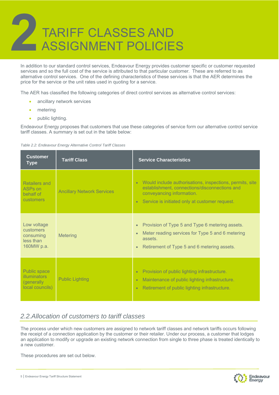# ASSIGNMENT POLICIES TARIFF CLASSES AND

In addition to our standard control services, Endeavour Energy provides customer specific or customer requested services and so the full cost of the service is attributed to that particular customer. These are referred to as alternative control services. One of the defining characteristics of these services is that the AER determines the price for the service or the unit rates used in quoting for a service.

The AER has classified the following categories of direct control services as alternative control services:

- ancillary network services
- metering
- public lighting.

Endeavour Energy proposes that customers that use these categories of service form our alternative control service tariff classes. A summary is set out in the table below:



| <b>Customer</b><br><b>Type</b>                                               | <b>Tariff Class</b>               | <b>Service Characteristics</b>                                                                                                                                                                                     |  |
|------------------------------------------------------------------------------|-----------------------------------|--------------------------------------------------------------------------------------------------------------------------------------------------------------------------------------------------------------------|--|
| Retailers and<br>ASPs on<br>behalf of<br>customers                           | <b>Ancillary Network Services</b> | Would include authorisations, inspections, permits, site<br>$\bullet$<br>establishment, connections/disconnections and<br>conveyancing information.<br>Service is initiated only at customer request.<br>$\bullet$ |  |
| Low voltage<br>customers<br>consuming<br>less than<br>160MW p.a.             | <b>Metering</b>                   | Provision of Type 5 and Type 6 metering assets.<br>$\bullet$<br>Meter reading services for Type 5 and 6 metering<br>$\bullet$<br>assets.<br>Retirement of Type 5 and 6 metering assets.<br>$\bullet$               |  |
| <b>Public space</b><br><b>illuminators</b><br>(generally)<br>local councils) | <b>Public Lighting</b>            | Provision of public lighting infrastructure.<br>$\bullet$<br>Maintenance of public lighting infrastructure.<br>$\bullet$<br>Retirement of public lighting infrastructure.<br>$\bullet$                             |  |

#### *2.2.Allocation of customers to tariff classes*

The process under which new customers are assigned to network tariff classes and network tariffs occurs following the receipt of a connection application by the customer or their retailer. Under our process, a customer that lodges an application to modify or upgrade an existing network connection from single to three phase is treated identically to a new customer.

These procedures are set out below.

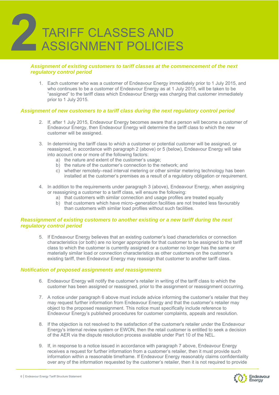

#### *Assignment of existing customers to tariff classes at the commencement of the next regulatory control period*

1. Each customer who was a customer of Endeavour Energy immediately prior to 1 July 2015, and who continues to be a customer of Endeavour Energy as at 1 July 2015, will be taken to be "assigned" to the tariff class which Endeavour Energy was charging that customer immediately prior to 1 July 2015.

#### *Assignment of new customers to a tariff class during the next regulatory control period*

- 2. If, after 1 July 2015, Endeavour Energy becomes aware that a person will become a customer of Endeavour Energy, then Endeavour Energy will determine the tariff class to which the new customer will be assigned.
- 3. In determining the tariff class to which a customer or potential customer will be assigned, or reassigned, in accordance with paragraph 2 (above) or 5 (below), Endeavour Energy will take into account one or more of the following factors:
	- a) the nature and extent of the customer's usage;
	- b) the nature of the customer's connection to the network; and
	- c) whether remotely–read interval metering or other similar metering technology has been installed at the customer's premises as a result of a regulatory obligation or requirement.
- 4. In addition to the requirements under paragraph 3 (above), Endeavour Energy, when assigning or reassigning a customer to a tariff class, will ensure the following:
	- a) that customers with similar connection and usage profiles are treated equally
	- b) that customers which have micro–generation facilities are not treated less favourably than customers with similar load profiles without such facilities.

#### *Reassignment of existing customers to another existing or a new tariff during the next regulatory control period*

5. If Endeavour Energy believes that an existing customer's load characteristics or connection characteristics (or both) are no longer appropriate for that customer to be assigned to the tariff class to which the customer is currently assigned or a customer no longer has the same or materially similar load or connection characteristics as other customers on the customer's existing tariff, then Endeavour Energy may reassign that customer to another tariff class.

#### *Notification of proposed assignments and reassignments*

- 6. Endeavour Energy will notify the customer's retailer in writing of the tariff class to which the customer has been assigned or reassigned, prior to the assignment or reassignment occurring.
- 7. A notice under paragraph 6 above must include advice informing the customer's retailer that they may request further information from Endeavour Energy and that the customer's retailer may object to the proposed reassignment. This notice must specifically include reference to Endeavour Energy's published procedures for customer complaints, appeals and resolution.
- 8. If the objection is not resolved to the satisfaction of the customer's retailer under the Endeavour Energy's internal review system or EWON, then the retail customer is entitled to seek a decision of the AER via the dispute resolution process available under Part 10 of the NEL.
- 9. If, in response to a notice issued in accordance with paragraph 7 above, Endeavour Energy receives a request for further information from a customer's retailer, then it must provide such information within a reasonable timeframe. If Endeavour Energy reasonably claims confidentiality over any of the information requested by the customer's retailer, then it is not required to provide



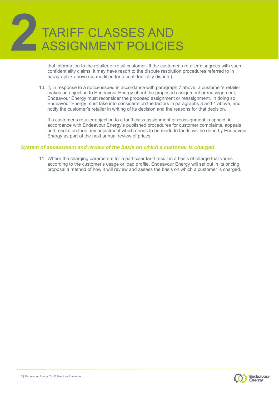# ASSIGNMENT POLICIES TARIFF CLASSES AND

that information to the retailer or retail customer. If the customer's retailer disagrees with such confidentiality claims, it may have resort to the dispute resolution procedures referred to in paragraph 7 above (as modified for a confidentiality dispute).

10. If, in response to a notice issued in accordance with paragraph 7 above, a customer's retailer makes an objection to Endeavour Energy about the proposed assignment or reassignment, Endeavour Energy must reconsider the proposed assignment or reassignment. In doing so Endeavour Energy must take into consideration the factors in paragraphs 3 and 4 above, and notify the customer's retailer in writing of its decision and the reasons for that decision.

If a customer's retailer objection to a tariff class assignment or reassignment is upheld, in accordance with Endeavour Energy's published procedures for customer complaints, appeals and resolution then any adjustment which needs to be made to tariffs will be done by Endeavour Energy as part of the next annual review of prices.

#### *System of assessment and review of the basis on which a customer is charged*

11. Where the charging parameters for a particular tariff result in a basis of charge that varies according to the customer's usage or load profile, Endeavour Energy will set out in its pricing proposal a method of how it will review and assess the basis on which a customer is charged.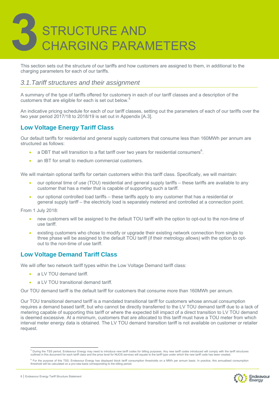This section sets out the structure of our tariffs and how customers are assigned to them, in additional to the charging parameters for each of our tariffs.

#### *3.1.Tariff structures and their assignment*

A summary of the type of tariffs offered for customers in each of our tariff classes and a description of the customers that are eligible for each is set out below.

An indicative pricing schedule for each of our tariff classes, setting out the parameters of each of our tariffs over the two year period 2017/18 to 2018/19 is set out in Appendix [A.3].

#### **Low Voltage Energy Tariff Class**

Our default tariffs for residential and general supply customers that consume less than 160MWh per annum are structured as follows:

- a DBT that will transition to a flat tariff over two years for residential consumers<sup>6</sup>.
- an IBT for small to medium commercial customers.

We will maintain optional tariffs for certain customers within this tariff class. Specifically, we will maintain:

- our optional time of use (TOU) residential and general supply tariffs these tariffs are available to any customer that has a meter that is capable of supporting such a tariff.
- our optional controlled load tariffs these tariffs apply to any customer that has a residential or general supply tariff – the electricity load is separately metered and controlled at a connection point.

From 1 July 2018:

- new customers will be assigned to the default TOU tariff with the option to opt-out to the non-time of use tariff.
- existing customers who chose to modify or upgrade their existing network connection from single to three phase will be assigned to the default TOU tariff (if their metrology allows) with the option to optout to the non-time of use tariff.

#### **Low Voltage Demand Tariff Class**

We will offer two network tariff types within the Low Voltage Demand tariff class:

- a LV TOU demand tariff.
- a LV TOU transitional demand tariff.

Our TOU demand tariff is the default tariff for customers that consume more than 160MWh per annum.

Our TOU transitional demand tariff is a mandated transitional tariff for customers whose annual consumption requires a demand based tariff, but who cannot be directly transferred to the LV TOU demand tariff due to a lack of metering capable of supporting this tariff or where the expected bill impact of a direct transition to LV TOU demand is deemed excessive. At a minimum, customers that are allocated to this tariff must have a TOU meter from which interval meter energy data is obtained. The LV TOU demand transition tariff is not available on customer or retailer request.

<sup>&</sup>lt;sup>6</sup> For the purpose of this TSS, Endeavour Energy has displayed block tariff consumption thresholds on a MWh per annum basis. In practice, this annualised consumption<br>threshold will be calculated on a pro-rata basis corres



<sup>&</sup>lt;sup>5</sup><br>During the TSS period, Endeavour Energy may need to introduce new tariff codes for billing purposes. Any new tariff codes introduced will comply with the tariff structures<br>outlined in this document for each tariff clas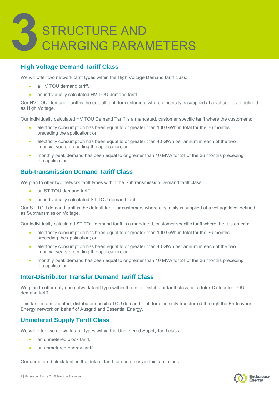

#### **High Voltage Demand Tariff Class**

We will offer two network tariff types within the High Voltage Demand tariff class:

- a HV TOU demand tariff.
- an individually calculated HV TOU demand tariff.

Our HV TOU Demand Tariff is the default tariff for customers where electricity is supplied at a voltage level defined as High Voltage.

Our individually calculated HV TOU Demand Tariff is a mandated, customer specific tariff where the customer's:

- electricity consumption has been equal to or greater than 100 GWh in total for the 36 months preceding the application; or
- electricity consumption has been equal to or greater than 40 GWh per annum in each of the two financial years preceding the application; or
- monthly peak demand has been equal to or greater than 10 MVA for 24 of the 36 months preceding the application.

#### **Sub-transmission Demand Tariff Class**

We plan to offer two network tariff types within the Subtransmission Demand tariff class:

- an ST TOU demand tariff.
- an individually calculated ST TOU demand tariff.

Our ST TOU demand tariff is the default tariff for customers where electricity is supplied at a voltage level defined as Subtransmission Voltage.

Our individually calculated ST TOU demand tariff is a mandated, customer specific tariff where the customer's:

- electricity consumption has been equal to or greater than 100 GWh in total for the 36 months preceding the application; or
- electricity consumption has been equal to or greater than 40 GWh per annum in each of the two financial years preceding the application; or
- monthly peak demand has been equal to or greater than 10 MVA for 24 of the 36 months preceding the application.

#### **Inter-Distributor Transfer Demand Tariff Class**

We plan to offer only one network tariff type within the Inter-Distributor tariff class, ie, a Inter-Distributor TOU demand tariff

This tariff is a mandated, distributor specific TOU demand tariff for electricity transferred through the Endeavour Energy network on behalf of Ausgrid and Essential Energy.

#### **Unmetered Supply Tariff Class**

We will offer two network tariff types within the Unmetered Supply tariff class:

- an unmetered block tariff.
- an unmetered energy tariff.

Our unmetered block tariff is the default tariff for customers in this tariff class.

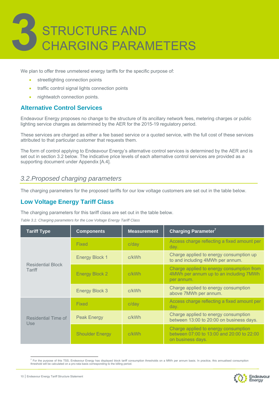

We plan to offer three unmetered energy tariffs for the specific purpose of:

- streetlighting connection points
- traffic control signal lights connection points
- nightwatch connection points.

#### **Alternative Control Services**

Endeavour Energy proposes no change to the structure of its ancillary network fees, metering charges or public lighting service charges as determined by the AER for the 2015-19 regulatory period.

These services are charged as either a fee based service or a quoted service, with the full cost of these services attributed to that particular customer that requests them.

The form of control applying to Endeavour Energy's alternative control services is determined by the AER and is set out in section 3.2 below. The indicative price levels of each alternative control services are provided as a supporting document under Appendix [A.4].

#### *3.2.Proposed charging parameters*

The charging parameters for the proposed tariffs for our low voltage customers are set out in the table below.

#### **Low Voltage Energy Tariff Class**

The charging parameters for this tariff class are set out in the table below.

| <b>Tariff Type</b>                 | <b>Components</b>      | <b>Measurement</b> | Charging Parameter <sup>7</sup>                                                                        |
|------------------------------------|------------------------|--------------------|--------------------------------------------------------------------------------------------------------|
|                                    | <b>Fixed</b>           | $c$ /day           | Access charge reflecting a fixed amount per<br>day.                                                    |
|                                    | <b>Energy Block 1</b>  | c/kWh              | Charge applied to energy consumption up<br>to and including 4MWh per annum.                            |
| <b>Residential Block</b><br>Tariff | <b>Energy Block 2</b>  | c/kWh              | Charge applied to energy consumption from<br>4MWh per annum up to an including 7MWh<br>per annum.      |
|                                    | <b>Energy Block 3</b>  | c/kWh              | Charge applied to energy consumption<br>above 7MWh per annum.                                          |
|                                    | Fixed                  | $c$ /day           | Access charge reflecting a fixed amount per<br>day.                                                    |
| Residential Time of<br><b>Use</b>  | <b>Peak Energy</b>     | c/kWh              | Charge applied to energy consumption<br>between 13:00 to 20:00 on business days.                       |
|                                    | <b>Shoulder Energy</b> | c/kWh              | Charge applied to energy consumption<br>between 07:00 to 13:00 and 20:00 to 22:00<br>on business days. |

<sup>7&</sup>lt;br>For the purpose of this TSS, Endeavour Energy has displayed block tariff consumption thresholds on a MWh per annum basis. In practice, this annualised consumption<br>threshold will be calculated on a pro-rata basis correspo

![](_page_10_Picture_16.jpeg)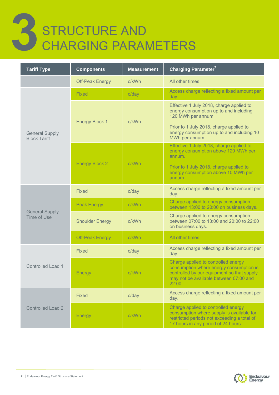### 3 STRUCTURE AND CHARGING PARAMETERS

| <b>Tariff Type</b>                           | <b>Components</b>      | <b>Measurement</b> | Charging Parameter <sup>7</sup>                                                                                                                                                  |
|----------------------------------------------|------------------------|--------------------|----------------------------------------------------------------------------------------------------------------------------------------------------------------------------------|
|                                              | <b>Off-Peak Energy</b> | c/kWh              | All other times                                                                                                                                                                  |
|                                              | Fixed                  | $c$ /day           | Access charge reflecting a fixed amount per<br>day.                                                                                                                              |
|                                              | <b>Energy Block 1</b>  | c/kWh              | Effective 1 July 2018, charge applied to<br>energy consumption up to and including<br>120 MWh per annum.                                                                         |
| <b>General Supply</b><br><b>Block Tariff</b> |                        |                    | Prior to 1 July 2018, charge applied to<br>energy consumption up to and including 10<br>MWh per annum.                                                                           |
|                                              | <b>Energy Block 2</b>  | c/kWh              | Effective 1 July 2018, charge applied to<br>energy consumption above 120 MWh per<br>annum.                                                                                       |
|                                              |                        |                    | Prior to 1 July 2018, charge applied to<br>energy consumption above 10 MWh per<br>annum.                                                                                         |
|                                              | <b>Fixed</b>           | $c$ /day           | Access charge reflecting a fixed amount per<br>day.                                                                                                                              |
|                                              | <b>Peak Energy</b>     | c/kWh              | Charge applied to energy consumption<br>between 13:00 to 20:00 on business days.                                                                                                 |
| <b>General Supply</b><br>Time of Use         | <b>Shoulder Energy</b> | c/kWh              | Charge applied to energy consumption<br>between 07:00 to 13:00 and 20:00 to 22:00<br>on business days.                                                                           |
|                                              | <b>Off-Peak Energy</b> | c/kWh              | All other times                                                                                                                                                                  |
|                                              | Fixed                  | $c$ /day           | Access charge reflecting a fixed amount per<br>day.                                                                                                                              |
| <b>Controlled Load 1</b>                     | <b>Energy</b>          | c/kWh              | Charge applied to controlled energy<br>consumption where energy consumption is<br>controlled by our equipment so that supply<br>may not be available between 07:00 and<br>22:00. |
|                                              | <b>Fixed</b>           | $c$ /day           | Access charge reflecting a fixed amount per<br>day.                                                                                                                              |
| <b>Controlled Load 2</b>                     | Energy                 | c/kWh              | Charge applied to controlled energy<br>consumption where supply is available for<br>restricted periods not exceeding a total of<br>17 hours in any period of 24 hours.           |

![](_page_11_Picture_2.jpeg)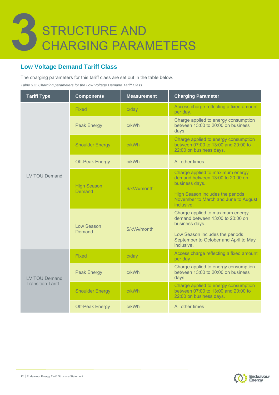![](_page_12_Picture_0.jpeg)

#### **Low Voltage Demand Tariff Class**

The charging parameters for this tariff class are set out in the table below.

*Table 3.2: Charging parameters for the Low Voltage Demand Tariff Class* 

| <b>Tariff Type</b>       | <b>Components</b>            | <b>Measurement</b> | <b>Charging Parameter</b>                                                                                                                                                        |
|--------------------------|------------------------------|--------------------|----------------------------------------------------------------------------------------------------------------------------------------------------------------------------------|
|                          | Fixed                        | $c$ /day           | Access charge reflecting a fixed amount<br>per day.                                                                                                                              |
|                          | <b>Peak Energy</b>           | c/kWh              | Charge applied to energy consumption<br>between 13:00 to 20:00 on business<br>days.                                                                                              |
|                          | <b>Shoulder Energy</b>       | c/kWh              | Charge applied to energy consumption<br>between 07:00 to 13:00 and 20:00 to<br>22:00 on business days.                                                                           |
| LV TOU Demand            | <b>Off-Peak Energy</b>       | c/kWh              | All other times                                                                                                                                                                  |
|                          | <b>High Season</b><br>Demand | \$/kVA/month       | Charge applied to maximum energy<br>demand between 13:00 to 20:00 on<br>business days.<br>High Season includes the periods<br>November to March and June to August<br>inclusive. |
|                          | Low Season<br>Demand         | \$/kVA/month       | Charge applied to maximum energy<br>demand between 13:00 to 20:00 on<br>business days.<br>Low Season includes the periods<br>September to October and April to May<br>inclusive. |
|                          | Fixed                        | $c$ /day           | Access charge reflecting a fixed amount<br>per day.                                                                                                                              |
| <b>LV TOU Demand</b>     | <b>Peak Energy</b>           | c/kWh              | Charge applied to energy consumption<br>between 13:00 to 20:00 on business<br>days.                                                                                              |
| <b>Transition Tariff</b> | <b>Shoulder Energy</b>       | c/kWh              | Charge applied to energy consumption<br>between 07:00 to 13:00 and 20:00 to<br>22:00 on business days.                                                                           |
|                          | <b>Off-Peak Energy</b>       | c/kWh              | All other times                                                                                                                                                                  |

![](_page_12_Picture_5.jpeg)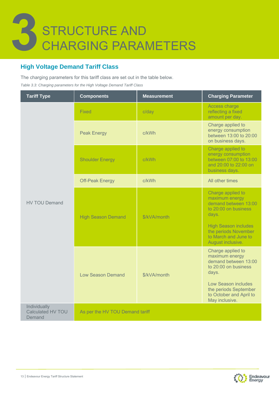![](_page_13_Picture_0.jpeg)

#### **High Voltage Demand Tariff Class**

The charging parameters for this tariff class are set out in the table below.

*Table 3.3: Charging parameters for the High Voltage Demand Tariff Class* 

| <b>Tariff Type</b>                          | <b>Components</b>         | <b>Measurement</b>                                                                                           | <b>Charging Parameter</b>                                                                                                                                                               |
|---------------------------------------------|---------------------------|--------------------------------------------------------------------------------------------------------------|-----------------------------------------------------------------------------------------------------------------------------------------------------------------------------------------|
|                                             | Fixed                     | $c$ /day                                                                                                     | Access charge<br>reflecting a fixed<br>amount per day.                                                                                                                                  |
|                                             | <b>Peak Energy</b>        | c/kWh<br>c/kWh<br>c/kWh<br>days.<br>\$/kVA/month<br>days.<br>\$/kVA/month<br>As per the HV TOU Demand tariff | Charge applied to<br>energy consumption<br>between 13:00 to 20:00<br>on business days.                                                                                                  |
|                                             | <b>Shoulder Energy</b>    |                                                                                                              | Charge applied to<br>energy consumption<br>between 07:00 to 13:00<br>and 20:00 to 22:00 on<br>business days.                                                                            |
|                                             | <b>Off-Peak Energy</b>    |                                                                                                              | All other times                                                                                                                                                                         |
| <b>HV TOU Demand</b>                        | <b>High Season Demand</b> |                                                                                                              | Charge applied to<br>maximum energy<br>demand between 13:00<br>to 20:00 on business<br><b>High Season includes</b><br>the periods November<br>to March and June to<br>August inclusive. |
|                                             | <b>Low Season Demand</b>  |                                                                                                              | Charge applied to<br>maximum energy<br>demand between 13:00<br>to 20:00 on business<br>Low Season includes<br>the periods September<br>to October and April to<br>May inclusive.        |
| Individually<br>Calculated HV TOU<br>Demand |                           |                                                                                                              |                                                                                                                                                                                         |

![](_page_13_Picture_5.jpeg)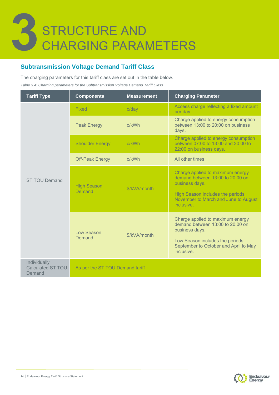#### **Subtransmission Voltage Demand Tariff Class**

The charging parameters for this tariff class are set out in the table below.

*Table 3.4: Charging parameters for the Subtransmission Voltage Demand Tariff Class* 

| <b>Tariff Type</b>                          | <b>Components</b>                    | <b>Measurement</b> | <b>Charging Parameter</b>                                                                                                                                                        |  |  |  |
|---------------------------------------------|--------------------------------------|--------------------|----------------------------------------------------------------------------------------------------------------------------------------------------------------------------------|--|--|--|
|                                             | Fixed                                | $c$ /day           | Access charge reflecting a fixed amount<br>per day.                                                                                                                              |  |  |  |
|                                             | <b>Peak Energy</b>                   | c/kWh              | Charge applied to energy consumption<br>between 13:00 to 20:00 on business<br>days.                                                                                              |  |  |  |
|                                             | <b>Shoulder Energy</b>               | c/kWh              | Charge applied to energy consumption<br>between 07:00 to 13:00 and 20:00 to<br>22:00 on business days.                                                                           |  |  |  |
|                                             | <b>Off-Peak Energy</b>               | c/kWh              | All other times                                                                                                                                                                  |  |  |  |
| <b>ST TOU Demand</b>                        | <b>High Season</b><br>Demand         | \$/kVA/month       | Charge applied to maximum energy<br>demand between 13:00 to 20:00 on<br>business days.<br>High Season includes the periods<br>November to March and June to August<br>inclusive. |  |  |  |
|                                             | Low Season<br>\$/kVA/month<br>Demand |                    | Charge applied to maximum energy<br>demand between 13:00 to 20:00 on<br>business days.<br>Low Season includes the periods<br>September to October and April to May<br>inclusive. |  |  |  |
| Individually<br>Calculated ST TOU<br>Demand | As per the ST TOU Demand tariff      |                    |                                                                                                                                                                                  |  |  |  |

![](_page_14_Picture_5.jpeg)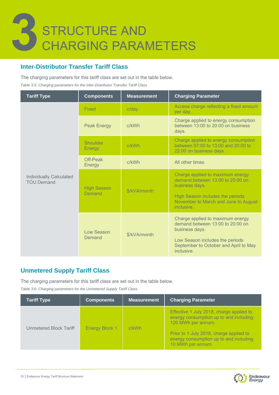#### **Inter-Distributor Transfer Tariff Class**

The charging parameters for this tariff class are set out in the table below.

*Table 3.5: Charging parameters for the Inter-Distributor Transfer Tariff Class* 

| <b>Tariff Type</b>                                  | <b>Components</b>            | <b>Measurement</b>                                                                           | <b>Charging Parameter</b>                                                                              |
|-----------------------------------------------------|------------------------------|----------------------------------------------------------------------------------------------|--------------------------------------------------------------------------------------------------------|
|                                                     | Fixed                        | $c$ /day                                                                                     | Access charge reflecting a fixed amount<br>per day.                                                    |
|                                                     | <b>Peak Energy</b>           | c/kWh<br>days.<br>c/kWh<br>c/kWh<br>\$/kVA/month<br>inclusive.<br>\$/kVA/month<br>inclusive. | Charge applied to energy consumption<br>between 13:00 to 20:00 on business                             |
|                                                     | Shoulder<br>Energy           |                                                                                              | Charge applied to energy consumption<br>between 07:00 to 13:00 and 20:00 to<br>22:00 on business days. |
| <b>Individually Calculated</b><br><b>TOU Demand</b> | Off-Peak<br>Energy           |                                                                                              | All other times                                                                                        |
|                                                     | <b>High Season</b><br>Demand |                                                                                              | Charge applied to maximum energy<br>demand between 13:00 to 20:00 on<br>business days.                 |
|                                                     |                              |                                                                                              | High Season includes the periods<br>November to March and June to August                               |
|                                                     | Low Season                   |                                                                                              | Charge applied to maximum energy<br>demand between 13:00 to 20:00 on<br>business days.                 |
|                                                     | Demand                       |                                                                                              | Low Season includes the periods<br>September to October and April to May                               |

#### **Unmetered Supply Tariff Class**

The charging parameters for this tariff class are set out in the table below.

*Table 3.6: Charging parameters for the Unmetered Supply Tariff Class* 

| <b>Tariff Type</b>     | <b>Components</b>     | <b>Measurement</b> | <b>Charging Parameter</b>                                                                                                                                                                                          |
|------------------------|-----------------------|--------------------|--------------------------------------------------------------------------------------------------------------------------------------------------------------------------------------------------------------------|
| Unmetered Block Tariff | <b>Energy Block 1</b> | c/kWh              | Effective 1 July 2018, charge applied to<br>energy consumption up to and including<br>120 MWh per annum.<br>Prior to 1 July 2018, charge applied to<br>energy consumption up to and including<br>10 MWh per annum. |

![](_page_15_Picture_9.jpeg)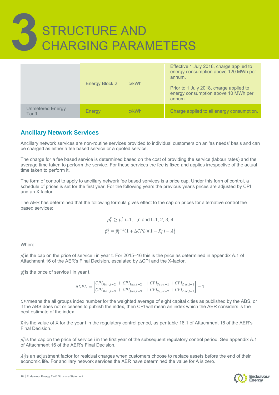|                            | Energy Block 2 | c/kWh | Effective 1 July 2018, charge applied to<br>energy consumption above 120 MWh per<br>annum.<br>Prior to 1 July 2018, charge applied to<br>energy consumption above 10 MWh per<br>annum. |
|----------------------------|----------------|-------|----------------------------------------------------------------------------------------------------------------------------------------------------------------------------------------|
| Unmetered Energy<br>Tariff | Energy         | c/kWh | Charge applied to all energy consumption.                                                                                                                                              |

#### **Ancillary Network Services**

Ancillary network services are non-routine services provided to individual customers on an 'as needs' basis and can be charged as either a fee based service or a quoted service.

The charge for a fee based service is determined based on the cost of providing the service (labour rates) and the average time taken to perform the service. For these services the fee is fixed and applies irrespective of the actual time taken to perform it.

The form of control to apply to ancillary network fee based services is a price cap. Under this form of control, a schedule of prices is set for the first year. For the following years the previous year's prices are adjusted by CPI and an X factor.

The AER has determined that the following formula gives effect to the cap on prices for alternative control fee based services:

$$
\bar{p}_i^t \ge p_i^t
$$
 i=1,...,n and t=1, 2, 3, 4  
 $\bar{p}_i^t = \bar{p}_i^{t-1} (1 + \Delta CPI_t)(1 - X_i^t) + A_i^t$ 

Where:

 $\bar p^t_i$ is the cap on the price of service i in year t. For 2015–16 this is the price as determined in appendix A.1 of Attachment 16 of the AER's Final Decision, escalated by ∆CPI and the X-factor.

 $p_i^t$ is the price of service i in year t.

$$
\Delta CPI_t = \left[ \frac{CPI_{Mar,t-2} + CPI_{Jun,t-2} + CPI_{Sep,t-1} + CPI_{Dec,t-1}}{CPI_{Mar,t-3} + CPI_{Jun,t-3} + CPI_{Sep,t-2} + CPI_{Dec,t-2}} \right] - 1
$$

CPI means the all groups index number for the weighted average of eight capital cities as published by the ABS, or if the ABS does not or ceases to publish the index, then CPI will mean an index which the AER considers is the best estimate of the index.

 $X_i^t$ is the value of X for the year t in the regulatory control period, as per table 16.1 of Attachment 16 of the AER's Final Decision.

 $\bar p_i^1$ is the cap on the price of service i in the first year of the subsequent regulatory control period. See appendix A.1 of Attachment 16 of the AER's Final Decision.

 $A_i^t$ is an adjustment factor for residual charges when customers choose to replace assets before the end of their economic life. For ancillary network services the AER have determined the value for A is zero.

16 | Endeavour Energy Tariff Structure Statement

![](_page_16_Picture_17.jpeg)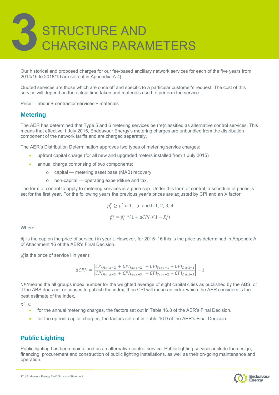Our historical and proposed charges for our fee-based ancillary network services for each of the five years from 2014/15 to 2018/19 are set out in Appendix [A.4]

Quoted services are those which are once off and specific to a particular customer's request. The cost of this service will depend on the actual time taken and materials used to perform the service.

Price = labour + contractor services + materials

#### **Metering**

The AER has determined that Type 5 and 6 metering services be (re)classified as alternative control services. This means that effective 1 July 2015, Endeavour Energy's metering charges are unbundled from the distribution component of the network tariffs and are charged separately.

The AER's Distribution Determination approves two types of metering service charges:

- upfront capital charge (for all new and upgraded meters installed from 1 July 2015)
- annual charge comprising of two components:
	- o capital metering asset base (MAB) recovery
	- o non-capital operating expenditure and tax.

The form of control to apply to metering services is a price cap. Under this form of control, a schedule of prices is set for the first year. For the following years the previous year's prices are adjusted by CPI and an X factor.

$$
\bar{p}_i^t \ge p_i^t
$$
 i=1,...,n and t=1, 2, 3, 4  
 $\bar{p}_i^t = \bar{p}_i^{t-1} (1 + \Delta CPI_t)(1 - X_i^t)$ 

Where:

 $\bar p^t_i$  is the cap on the price of service i in year t. However, for 2015–16 this is the price as determined in Appendix A of Attachment 16 of the AER's Final Decision.

p ௧ is the price of service i in year *t*.

$$
\Delta CPI_t = \left[ \frac{CPI_{Mar,t-2} + CPI_{Jun,t-2} + CPI_{Sep,t-1} + CPI_{Dec,t-1}}{CPI_{Mar,t-3} + CPI_{Jun,t-3} + CPI_{Sep,t-2} + CPI_{Dec,t-2}} \right] - 1
$$

CPI means the all groups index number for the weighted average of eight capital cities as published by the ABS, or if the ABS does not or ceases to publish the index, then CPI will mean an index which the AER considers is the best estimate of the index.

 $\mathrm{X}_i^t$  is:

- for the annual metering charges, the factors set out in Table 16.8 of the AER's Final Decision.
- for the upfront capital charges, the factors set out in Table 16.9 of the AER's Final Decision.

#### **Public Lighting**

Public lighting has been maintained as an alternative control service. Public lighting services include the design, financing, procurement and construction of public lighting installations, as well as their on-going maintenance and operation.

![](_page_17_Picture_24.jpeg)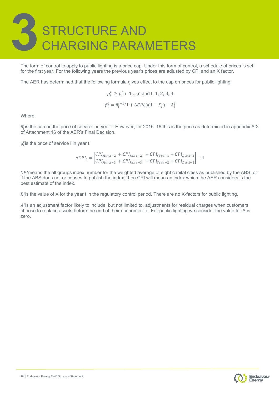The form of control to apply to public lighting is a price cap. Under this form of control, a schedule of prices is set for the first year. For the following years the previous year's prices are adjusted by CPI and an X factor.

The AER has determined that the following formula gives effect to the cap on prices for public lighting:

$$
\bar{p}_i^t \ge p_i^t
$$
 i=1,...,n and t=1, 2, 3, 4  
 $\bar{p}_i^t = \bar{p}_i^{t-1} (1 + \Delta CPI_t)(1 - X_i^t) + A_i^t$ 

Where:

 $\bar p^t_i$ is the cap on the price of service i in year t. However, for 2015–16 this is the price as determined in appendix A.2 of Attachment 16 of the AER's Final Decision.

 $p_i^t$ is the price of service i in year t.

$$
\Delta CPI_t = \left[ \frac{CPI_{Mar,t-2} + CPI_{Jun,t-2} + CPI_{Sep,t-1} + CPI_{Dec,t-1}}{CPI_{Mar,t-3} + CPI_{Jun,t-3} + CPI_{Sep,t-2} + CPI_{Dec,t-2}} \right] - 1
$$

CPI means the all groups index number for the weighted average of eight capital cities as published by the ABS, or if the ABS does not or ceases to publish the index, then CPI will mean an index which the AER considers is the best estimate of the index.

 $X_i^t$  is the value of X for the year t in the regulatory control period. There are no X-factors for public lighting.

 $A_i^t$ is an adjustment factor likely to include, but not limited to, adjustments for residual charges when customers choose to replace assets before the end of their economic life. For public lighting we consider the value for A is zero.

![](_page_18_Picture_11.jpeg)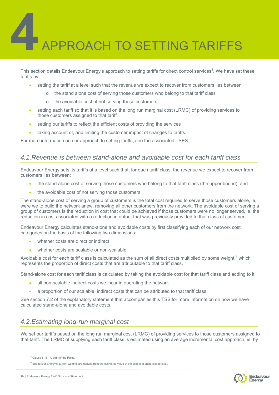# APPROACH TO SETTING TARIFFS

This section details Endeavour Energy's approach to setting tariffs for direct control services<sup>8</sup>. We have set these tariffs by:

- setting the tariff at a level such that the revenue we expect to recover from customers lies between
	- the stand alone cost of serving those customers who belong to that tariff class
		- o the avoidable cost of not serving those customers.
- setting each tariff so that it is based on the long run marginal cost (LRMC) of providing services to those customers assigned to that tariff
- setting our tariffs to reflect the efficient costs of providing the services
- taking account of, and limiting the customer impact of changes to tariffs.

For more information on our approach to setting tariffs, see the associated TSES.

#### *4.1.Revenue is between stand-alone and avoidable cost for each tariff class*

Endeavour Energy sets its tariffs at a level such that, for each tariff class, the revenue we expect to recover from customers lies between:

- the stand alone cost of serving those customers who belong to that tariff class (the upper bound); and
- the avoidable cost of not serving those customers.

The stand-alone cost of serving a group of customers is the total cost required to serve those customers alone, ie, were we to build the network anew, removing all other customers from the network. The avoidable cost of serving a group of customers is the reduction in cost that could be achieved if those customers were no longer served, ie, the reduction in cost associated with a reduction in output that was previously provided to that class of customer.

Endeavour Energy calculates stand-alone and avoidable costs by first classifying each of our network cost categories on the basis of the following two dimensions:

- whether costs are direct or indirect
- whether costs are scalable or non-scalable.

Avoidable cost for each tariff class is calculated as the sum of all direct costs multiplied by some weight,  $9$  which represents the proportion of direct costs that are attributable to that tariff class.

Stand-alone cost for each tariff class is calculated by taking the avoidable cost for that tariff class and adding to it:

- all non-scalable indirect costs we incur in operating the network
- a proportion of our scalable, indirect costs that can be attributed to that tariff class.

See section 7.2 of the explanatory statement that accompanies this TSS for more information on how we have calculated stand-alone and avoidable costs.

#### *4.2.Estimating long-run marginal cost*

We set our tariffs based on the long run marginal cost (LRMC) of providing services to those customers assigned to that tariff. The LRMC of supplying each tariff class is estimated using an average incremental cost approach, ie, by

![](_page_19_Picture_27.jpeg)

 $8$  Clause 6.18.1A(a)(5) of the Rules.

<sup>&</sup>lt;sup>9</sup> Endeavour Energy's current weights are derived from the estimated value of the assets at each voltage level.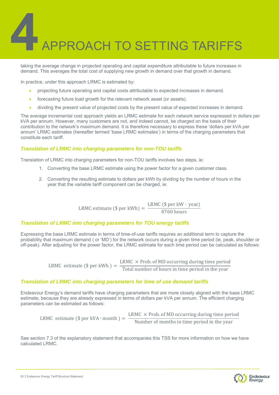# APPROACH TO SETTING TARIFFS

taking the average change in projected operating and capital expenditure attributable to future increases in demand. This averages the total cost of supplying new growth in demand over that growth in demand.

In practice, under this approach LRMC is estimated by:

- projecting future operating and capital costs attributable to expected increases in demand.
- forecasting future load growth for the relevant network asset (or assets).
- dividing the present value of projected costs by the present value of expected increases in demand.

The average incremental cost approach yields an LRMC estimate for each network service expressed in dollars per kVA per annum. However, many customers are not, and indeed cannot, be charged on the basis of their contribution to the network's maximum demand. It is therefore necessary to express these 'dollars per kVA per annum' LRMC estimates (hereafter termed 'base LRMC estimates') in terms of the charging parameters that constitute each tariff.

#### *Translation of LRMC into charging parameters for non-TOU tariffs*

Translation of LRMC into charging parameters for non-TOU tariffs involves two steps, ie:

- 1. Converting the base LRMC estimate using the power factor for a given customer class.
- 2. Converting the resulting estimate to dollars per kWh by dividing by the number of hours in the year that the variable tariff component can be charged, ie:

LRMC estimate (\$ per kWh) =  $\frac{\text{LRMC ($ per kW} \cdot \text{year})}{8760 \text{ hours}}$ 

#### *Translation of LRMC into charging parameters for TOU energy tariffs*

Expressing the base LRMC estimate in terms of time-of-use tariffs requires an additional term to capture the probability that maximum demand ( or 'MD') for the network occurs during a given time period (ie, peak, shoulder or off-peak). After adjusting for the power factor, the LRMC estimate for each time period can be calculated as follows:

LRMC estimate (\$ per kWh ) =  $\frac{\text{LRMC} \times \text{Prob. of MD occurring during time period}}{\text{Total number of hours in time period in the year}}$ 

#### *Translation of LRMC into charging parameters for time of use demand tariffs*

Endeavour Energy's demand tariffs have charging parameters that are more closely aligned with the base LRMC estimate, because they are already expressed in terms of dollars per kVA per annum. The efficient charging parameters can be estimated as follows:

LRMC estimate (\$ per kVA ⋅ month ) =  $\frac{\text{LRMC} \times \text{Prob. of MD occurring during time period}}{\text{Number of months in time period in the year}}$ 

See section 7.3 of the explanatory statement that accompanies this TSS for more information on how we have calculated LRMC.

![](_page_20_Picture_19.jpeg)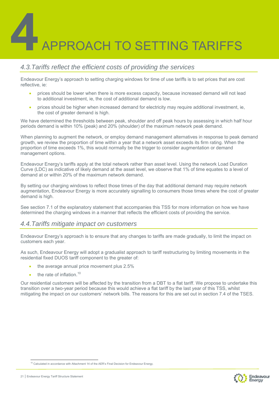# APPROACH TO SETTING TARIFFS

#### *4.3.Tariffs reflect the efficient costs of providing the services*

Endeavour Energy's approach to setting charging windows for time of use tariffs is to set prices that are cost reflective, ie:

- prices should be lower when there is more excess capacity, because increased demand will not lead to additional investment, ie, the cost of additional demand is low.
- prices should be higher when increased demand for electricity may require additional investment, ie, the cost of greater demand is high.

We have determined the thresholds between peak, shoulder and off peak hours by assessing in which half hour periods demand is within 10% (peak) and 20% (shoulder) of the maximum network peak demand.

When planning to augment the network, or employ demand management alternatives in response to peak demand growth, we review the proportion of time within a year that a network asset exceeds its firm rating. When the proportion of time exceeds 1%, this would normally be the trigger to consider augmentation or demand management options.

Endeavour Energy's tariffs apply at the total network rather than asset level. Using the network Load Duration Curve (LDC) as indicative of likely demand at the asset level, we observe that 1% of time equates to a level of demand at or within 20% of the maximum network demand.

By setting our charging windows to reflect those times of the day that additional demand may require network augmentation, Endeavour Energy is more accurately signalling to consumers those times where the cost of greater demand is high.

See section 7.1 of the explanatory statement that accompanies this TSS for more information on how we have determined the charging windows in a manner that reflects the efficient costs of providing the service.

#### *4.4.Tariffs mitigate impact on customers*

Endeavour Energy's approach is to ensure that any changes to tariffs are made gradually, to limit the impact on customers each year.

As such, Endeavour Energy will adopt a gradualist approach to tariff restructuring by limiting movements in the residential fixed DUOS tariff component to the greater of:

- the average annual price movement plus 2.5%
- the rate of inflation  $10$

Our residential customers will be affected by the transition from a DBT to a flat tariff. We propose to undertake this transition over a two-year period because this would achieve a flat tariff by the last year of this TSS, whilst mitigating the impact on our customers' network bills. The reasons for this are set out in section 7.4 of the TSES.

![](_page_21_Picture_18.jpeg)

<sup>&</sup>lt;sup>10</sup> Calculated in accordance with Attachment 14 of the AER's Final Decision for Endeavour Energy.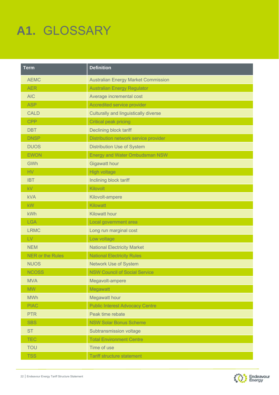# **A1.** GLOSSARY

| <b>Term</b>             | <b>Definition</b>                          |
|-------------------------|--------------------------------------------|
| <b>AEMC</b>             | <b>Australian Energy Market Commission</b> |
| <b>AER</b>              | <b>Australian Energy Regulator</b>         |
| <b>AIC</b>              | Average incremental cost                   |
| <b>ASP</b>              | Accredited service provider                |
| <b>CALD</b>             | Culturally and linguistically diverse      |
| <b>CPP</b>              | <b>Critical peak pricing</b>               |
| <b>DBT</b>              | Declining block tariff                     |
| <b>DNSP</b>             | Distribution network service provider      |
| <b>DUOS</b>             | <b>Distribution Use of System</b>          |
| <b>EWON</b>             | <b>Energy and Water Ombudsman NSW</b>      |
| GWh                     | <b>Gigawatt hour</b>                       |
| HV                      | <b>High voltage</b>                        |
| <b>IBT</b>              | Inclining block tariff                     |
| kV                      | Kilovolt                                   |
| <b>kVA</b>              | Kilovolt-ampere                            |
| <b>kW</b>               | <b>Kilowatt</b>                            |
| kWh                     | <b>Kilowatt hour</b>                       |
| <b>LGA</b>              | Local government area                      |
| <b>LRMC</b>             | Long run marginal cost                     |
| LV                      | Low voltage                                |
| <b>NEM</b>              | <b>National Electricity Market</b>         |
| <b>NER or the Rules</b> | <b>National Electricity Rules</b>          |
| <b>NUOS</b>             | <b>Network Use of System</b>               |
| <b>NCOSS</b>            | <b>NSW Council of Social Service</b>       |
| <b>MVA</b>              | Megavolt-ampere                            |
| <b>MW</b>               | Megawatt                                   |
| <b>MWh</b>              | <b>Megawatt hour</b>                       |
| <b>PIAC</b>             | <b>Public Interest Advocacy Centre</b>     |
| <b>PTR</b>              | Peak time rebate                           |
| <b>SBS</b>              | <b>NSW Solar Bonus Scheme</b>              |
| <b>ST</b>               | Subtransmission voltage                    |
| <b>TEC</b>              | <b>Total Environment Centre</b>            |
| <b>TOU</b>              | Time of use                                |
| <b>TSS</b>              | <b>Tariff structure statement</b>          |

![](_page_22_Picture_3.jpeg)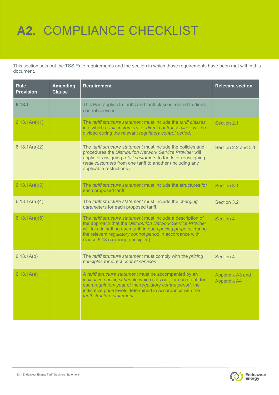## **A2.** COMPLIANCE CHECKLIST

This section sets out the TSS Rule requirements and the section in which those requirements have been met within this document.

| <b>Rule</b><br><b>Provision</b> | <b>Amending</b><br><b>Clause</b> | <b>Requirement</b>                                                                                                                                                                                                                                                                                  | <b>Relevant section</b>               |
|---------------------------------|----------------------------------|-----------------------------------------------------------------------------------------------------------------------------------------------------------------------------------------------------------------------------------------------------------------------------------------------------|---------------------------------------|
| 6.18.1                          |                                  | This Part applies to tariffs and tariff classes related to direct<br>control services.                                                                                                                                                                                                              |                                       |
| 6.18.1A(a)(1)                   |                                  | The <i>tariff structure statement</i> must include the <i>tariff classes</i><br>into which retail customers for direct control services will be<br>divided during the relevant regulatory control period.                                                                                           | Section 2.1                           |
| 6.18.1A(a)(2)                   |                                  | The tariff structure statement must include the policies and<br>procedures the Distribution Network Service Provider will<br>apply for assigning retail customers to tariffs or reassigning<br>retail customers from one tariff to another (including any<br>applicable restrictions).              | Section 2.2 and 3.1                   |
| 6.18.1A(a)(3)                   |                                  | The tariff structure statement must include the structures for<br>each proposed tariff.                                                                                                                                                                                                             | Section 3.1                           |
| 6.18.1A(a)(4)                   |                                  | The tariff structure statement must include the charging<br>parameters for each proposed tariff.                                                                                                                                                                                                    | Section 3.2                           |
| 6.18.1A(a)(5)                   |                                  | The tariff structure statement must include a description of<br>the approach that the Distribution Network Service Provider<br>will take in setting each tariff in each pricing proposal during<br>the relevant regulatory control period in accordance with<br>clause 6.18.5 (pricing principles). | Section 4                             |
| 6.18.1A(b)                      |                                  | The tariff structure statement must comply with the pricing<br>principles for direct control services.                                                                                                                                                                                              | Section 4                             |
| 6.18.1A(e)                      |                                  | A tariff structure statement must be accompanied by an<br>indicative pricing schedule which sets out, for each tariff for<br>each regulatory year of the regulatory control period, the<br>indicative price levels determined in accordance with the<br>tariff structure statement.                 | Appendix A3 and<br><b>Appendix A4</b> |

![](_page_23_Picture_3.jpeg)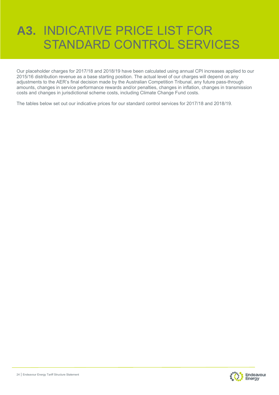Our placeholder charges for 2017/18 and 2018/19 have been calculated using annual CPI increases applied to our 2015/16 distribution revenue as a base starting position. The actual level of our charges will depend on any adjustments to the AER's final decision made by the Australian Competition Tribunal, any future pass-through amounts, changes in service performance rewards and/or penalties, changes in inflation, changes in transmission costs and changes in jurisdictional scheme costs, including Climate Change Fund costs.

The tables below set out our indicative prices for our standard control services for 2017/18 and 2018/19.

![](_page_24_Picture_4.jpeg)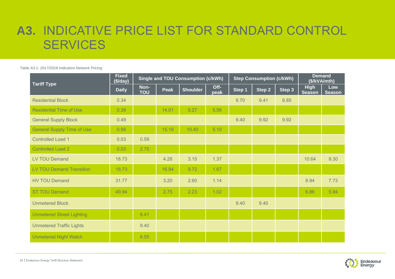*Table A3.1: 2017/2018 Indicative Network Pricing*

| <b>Tariff Type</b>                | <b>Fixed</b><br>(\$/day) |                    | <b>Single and TOU Consumption (c/kWh)</b> |                 |              |        | <b>Step Consumption (c/kWh)</b> | <b>Demand</b><br>(\$/kVA/mth) |                              |                      |
|-----------------------------------|--------------------------|--------------------|-------------------------------------------|-----------------|--------------|--------|---------------------------------|-------------------------------|------------------------------|----------------------|
|                                   | <b>Daily</b>             | Non-<br><b>TOU</b> | Peak                                      | <b>Shoulder</b> | Off-<br>peak | Step 1 | Step2                           | Step 3                        | <b>High</b><br><b>Season</b> | Low<br><b>Season</b> |
| <b>Residential Block</b>          | 0.34                     |                    |                                           |                 |              | 9.70   | 9.41                            | 8.85                          |                              |                      |
| <b>Residential Time of Use</b>    | 0.39                     |                    | 14.01                                     | 9.27            | 5.56         |        |                                 |                               |                              |                      |
| <b>General Supply Block</b>       | 0.49                     |                    |                                           |                 |              | 9.40   | 9.92                            | 9.92                          |                              |                      |
| <b>General Supply Time of Use</b> | 0.56                     |                    | 15.19                                     | 10.40           | 5.10         |        |                                 |                               |                              |                      |
| <b>Controlled Load 1</b>          | 0.03                     | 0.59               |                                           |                 |              |        |                                 |                               |                              |                      |
| <b>Controlled Load 2</b>          | 0.03                     | 2.75               |                                           |                 |              |        |                                 |                               |                              |                      |
| <b>LV TOU Demand</b>              | 18.73                    |                    | 4.28                                      | 3.15            | 1.37         |        |                                 |                               | 10.64                        | 9.30                 |
| <b>LV TOU Demand Transition</b>   | 18.73                    |                    | 16.94                                     | 9.72            | 1.67         |        |                                 |                               |                              |                      |
| <b>HV TOU Demand</b>              | 31.77                    |                    | 3.20                                      | 2.60            | 1.14         |        |                                 |                               | 8.94                         | 7.73                 |
| <b>ST TOU Demand</b>              | 49.94                    |                    | 2.75                                      | 2.23            | 1.02         |        |                                 |                               | 6.86                         | 5.94                 |
| <b>Unmetered Block</b>            |                          |                    |                                           |                 |              | 9.40   | 9.40                            |                               |                              |                      |
| <b>Unmetered Street Lighting</b>  |                          | 8.41               |                                           |                 |              |        |                                 |                               |                              |                      |
| <b>Unmetered Traffic Lights</b>   |                          | 9.40               |                                           |                 |              |        |                                 |                               |                              |                      |
| <b>Unmetered Night Watch</b>      |                          | 6.55               |                                           |                 |              |        |                                 |                               |                              |                      |

![](_page_25_Picture_3.jpeg)

25 | Endeavour Energy Tariff Structure Statement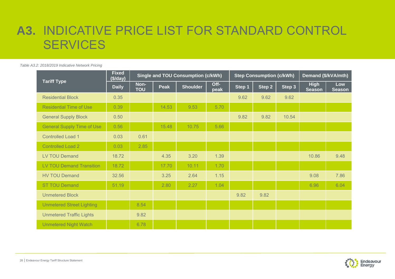*Table A3.2: 2018/2019 Indicative Network Pricing* 

|                                   | <b>Fixed</b><br>(\$/day) |                    |             | <b>Single and TOU Consumption (c/kWh)</b> |              |        | <b>Step Consumption (c/kWh)</b> | Demand (\$/kVA/mth) |                              |                      |
|-----------------------------------|--------------------------|--------------------|-------------|-------------------------------------------|--------------|--------|---------------------------------|---------------------|------------------------------|----------------------|
| <b>Tariff Type</b>                | <b>Daily</b>             | Non-<br><b>TOU</b> | <b>Peak</b> | <b>Shoulder</b>                           | Off-<br>peak | Step 1 | Step 2                          | Step 3              | <b>High</b><br><b>Season</b> | Low<br><b>Season</b> |
| <b>Residential Block</b>          | 0.35                     |                    |             |                                           |              | 9.62   | 9.62                            | 9.62                |                              |                      |
| <b>Residential Time of Use</b>    | 0.39                     |                    | 14.53       | 9.53                                      | 5.70         |        |                                 |                     |                              |                      |
| <b>General Supply Block</b>       | 0.50                     |                    |             |                                           |              | 9.82   | 9.82                            | 10.54               |                              |                      |
| <b>General Supply Time of Use</b> | 0.56                     |                    | 15.48       | 10.75                                     | 5.66         |        |                                 |                     |                              |                      |
| <b>Controlled Load 1</b>          | 0.03                     | 0.61               |             |                                           |              |        |                                 |                     |                              |                      |
| <b>Controlled Load 2</b>          | 0.03                     | 2.85               |             |                                           |              |        |                                 |                     |                              |                      |
| <b>LV TOU Demand</b>              | 18.72                    |                    | 4.35        | 3.20                                      | 1.39         |        |                                 |                     | 10.86                        | 9.48                 |
| <b>LV TOU Demand Transition</b>   | 18.72                    |                    | 17.70       | 10.11                                     | 1.70         |        |                                 |                     |                              |                      |
| <b>HV TOU Demand</b>              | 32.56                    |                    | 3.25        | 2.64                                      | 1.15         |        |                                 |                     | 9.08                         | 7.86                 |
| <b>ST TOU Demand</b>              | 51.19                    |                    | 2.80        | 2.27                                      | 1.04         |        |                                 |                     | 6.96                         | 6.04                 |
| <b>Unmetered Block</b>            |                          |                    |             |                                           |              | 9.82   | 9.82                            |                     |                              |                      |
| <b>Unmetered Street Lighting</b>  |                          | 8.54               |             |                                           |              |        |                                 |                     |                              |                      |
| <b>Unmetered Traffic Lights</b>   |                          | 9.82               |             |                                           |              |        |                                 |                     |                              |                      |
| <b>Unmetered Night Watch</b>      |                          | 6.78               |             |                                           |              |        |                                 |                     |                              |                      |

![](_page_26_Picture_3.jpeg)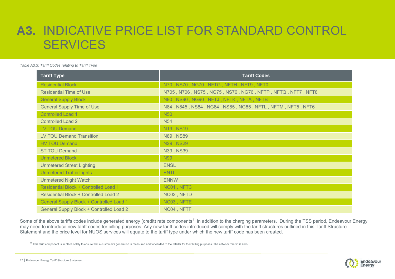#### *Table A3.3: Tariff Codes relating to Tariff Type*

| <b>Tariff Type</b>                           | <b>Tariff Codes</b>                                        |
|----------------------------------------------|------------------------------------------------------------|
| <b>Residential Block</b>                     | N70, NS70, NG70, NFTG, NFTH, NFT9, NFT0                    |
| <b>Residential Time of Use</b>               | N705, N706, NS75, NG75, NS76, NG76, NFTP, NFTQ, NFT7, NFT8 |
| <b>General Supply Block</b>                  | N90, NS90, NG90, NFTJ, NFTK, NFTA, NFTB                    |
| <b>General Supply Time of Use</b>            | N84, N845, NS84, NG84, NS85, NG85, NFTL, NFTM, NFT5, NFT6  |
| <b>Controlled Load 1</b>                     | <b>N50</b>                                                 |
| <b>Controlled Load 2</b>                     | <b>N54</b>                                                 |
| <b>LV TOU Demand</b>                         | N19, NS19                                                  |
| <b>LV TOU Demand Transition</b>              | N89, NS89                                                  |
| <b>HV TOU Demand</b>                         | N29, NS29                                                  |
| <b>ST TOU Demand</b>                         | N39, NS39                                                  |
| <b>Unmetered Block</b>                       | <b>N99</b>                                                 |
| <b>Unmetered Street Lighting</b>             | <b>ENSL</b>                                                |
| <b>Unmetered Traffic Lights</b>              | <b>ENTL</b>                                                |
| <b>Unmetered Night Watch</b>                 | <b>ENNW</b>                                                |
| Residential Block + Controlled Load 1        | NC01, NFTC                                                 |
| <b>Residential Block + Controlled Load 2</b> | NC02, NFTD                                                 |
| General Supply Block + Controlled Load 1     | NC03, NFTE                                                 |
| General Supply Block + Controlled Load 2     | NC04, NFTF                                                 |

Some of the above tariffs codes include generated energy (credit) rate components<sup>11</sup> in addition to the charging parameters. During the TSS period, Endeavour Energy may need to introduce new tariff codes for billing purposes. Any new tariff codes introduced will comply with the tariff structures outlined in this Tariff Structure Statement and the price level for NUOS services will equate to the tariff type under which the new tariff code has been created.

<sup>&</sup>lt;sup>11</sup> This tariff component is in place solely to ensure that a customer's generation is measured and forwarded to the retailer for their billing purposes. The network "credit" is zero.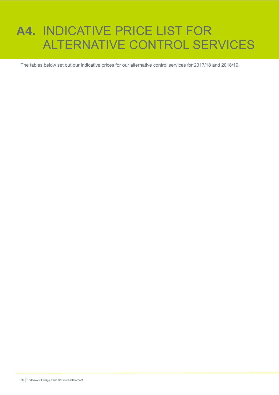## **A4.** INDICATIVE PRICE LIST FOR ALTERNATIVE CONTROL SERVICES

The tables below set out our indicative prices for our alternative control services for 2017/18 and 2018/19.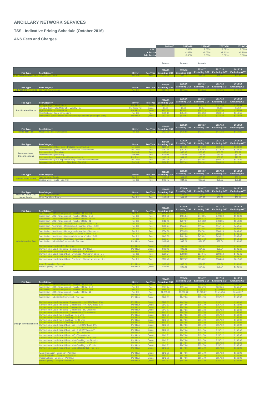#### **ANCILLARY NETWORK SERVICES**

#### **TSS - Indicative Pricing Schedule (October 2016)**

**ANS Fees and Charges**

|                                                                                                                                                                                                           |                                                                                                                                     |                              |                       | $2014 - 15$                     | $2015 - 16$                     |                                 |                                 | 2018-19                         |
|-----------------------------------------------------------------------------------------------------------------------------------------------------------------------------------------------------------|-------------------------------------------------------------------------------------------------------------------------------------|------------------------------|-----------------------|---------------------------------|---------------------------------|---------------------------------|---------------------------------|---------------------------------|
|                                                                                                                                                                                                           |                                                                                                                                     |                              | CPI                   |                                 | 2.49%                           | 2016-17<br>1.51%                | $2017 - 18$<br>2.50%            | 2.50%                           |
|                                                                                                                                                                                                           |                                                                                                                                     |                              | X Factor              |                                 | $-1.02%$                        | $-1.07%$                        | $-1.11%$                        | $-1.10%$                        |
|                                                                                                                                                                                                           |                                                                                                                                     |                              | <b>Adjt Facto</b>     |                                 | 0.00%                           | 0.00%                           | 0.00%                           | 0.00%                           |
|                                                                                                                                                                                                           |                                                                                                                                     |                              |                       |                                 |                                 |                                 |                                 |                                 |
|                                                                                                                                                                                                           |                                                                                                                                     |                              |                       | Actuals                         | Actuals                         | Actuals                         |                                 |                                 |
|                                                                                                                                                                                                           |                                                                                                                                     |                              |                       | 2014/15                         | 2015/16                         | 2016/17                         | 2017/18                         | 2018/19                         |
| Fee Type                                                                                                                                                                                                  | <b>Fee Category</b>                                                                                                                 | <b>Driver</b>                | Fee Type              | <b>Excluding GST</b>            | <b>Excluding GST</b>            | <b>Excluding GST</b>            | <b>Excluding GST</b>            | <b>Excluding GST</b>            |
|                                                                                                                                                                                                           |                                                                                                                                     |                              |                       |                                 |                                 |                                 |                                 |                                 |
|                                                                                                                                                                                                           |                                                                                                                                     |                              |                       |                                 | 2015/16                         | 2016/17                         | 2017/18                         | 2018/19                         |
|                                                                                                                                                                                                           | <b>Fee Category</b>                                                                                                                 | Driver                       | Fee Type              | 2014/15<br><b>Excluding GST</b> | <b>Excluding GST</b>            | <b>Excluding GST</b>            | <b>Excluding GST</b>            | <b>Excluding GST</b>            |
|                                                                                                                                                                                                           |                                                                                                                                     |                              |                       |                                 |                                 |                                 |                                 |                                 |
|                                                                                                                                                                                                           |                                                                                                                                     |                              |                       |                                 |                                 |                                 |                                 |                                 |
|                                                                                                                                                                                                           |                                                                                                                                     |                              |                       | 2014/15                         | 2015/16                         | 2016/17                         | 2017/18                         | 2018/19                         |
| <b>Fee Type</b>                                                                                                                                                                                           | <b>Fee Category</b>                                                                                                                 | <b>Driver</b>                | Fee Type              | <b>Excluding GST</b>            | <b>Excluding GST</b>            | <b>Excluding GST</b>            | <b>Excluding GST</b>            | <b>Excluding GST</b>            |
|                                                                                                                                                                                                           | Fitting of Tiger Tails (Material) - Weekly Hire                                                                                     | Per Tiger Tail               | Quote                 | \$4.84                          | \$5.01                          | \$5.14                          | \$5.33                          | \$5.52                          |
|                                                                                                                                                                                                           | Rectification of illegal connections                                                                                                | Per Hou<br>Per Job           | Fee                   | \$133.80<br>\$535.19            | \$138.5<br>\$554.11             | \$142.1<br>\$568.50             | \$147.30<br>\$589.18            | \$152.64<br>\$610.55            |
|                                                                                                                                                                                                           | ovision of service crew / additional crew (Additional person per crew                                                               | Per Hour                     | Quote                 | \$133.80                        | S138.5                          | S142.1                          | \$147.30                        | S152.64                         |
|                                                                                                                                                                                                           |                                                                                                                                     |                              |                       |                                 |                                 |                                 |                                 |                                 |
|                                                                                                                                                                                                           |                                                                                                                                     |                              |                       | 2014/15                         | 2015/16                         | 2016/17                         | 2017/18                         | 2018/19                         |
| Fee Type                                                                                                                                                                                                  | <b>Fee Category</b>                                                                                                                 | <b>Driver</b>                | Fee Type              | <b>Excluding GST</b>            | <b>Excluding GST</b>            | <b>Excluding GST</b>            | <b>Excluding GST</b>            | <b>Excluding GST</b>            |
|                                                                                                                                                                                                           |                                                                                                                                     |                              |                       |                                 |                                 |                                 |                                 |                                 |
|                                                                                                                                                                                                           |                                                                                                                                     |                              |                       |                                 | 2015/16                         | 2016/17                         | 2017/18                         | 2018/19                         |
|                                                                                                                                                                                                           |                                                                                                                                     | Driver                       | Fee Type              | 2014/15<br><b>Excluding GST</b> | <b>Excluding GST</b>            | <b>Excluding GST</b>            | <b>Excluding GST</b>            | <b>Excluding GST</b>            |
|                                                                                                                                                                                                           |                                                                                                                                     |                              |                       |                                 |                                 |                                 |                                 |                                 |
|                                                                                                                                                                                                           | Disconnections (Meter Load Tail) - Includes Reconnection<br>onnections (Site )                                                      | Per Disco<br><b>Per Visi</b> | Fee<br>Fee            | \$252.88<br>\$55.02             | \$261.82<br>S56.91              | \$268.62<br>\$58.45             | \$278.39<br>\$60.58             | \$288.49<br>\$62.78             |
| <b>Disconnections</b>                                                                                                                                                                                     | Disconnections (Site Visit)                                                                                                         | Per Visit<br>Per Reco        | Fee<br>Fee            | \$55.02<br>\$62.13              | \$56.97<br>\$64.33              | \$58.45<br>\$66,00              | \$60.58<br>\$68,40              | \$62.78<br>\$70.88              |
|                                                                                                                                                                                                           | Disconnections (Pole Top / Pillar Box) - Includes Reconnection                                                                      | Per Disco                    | Fee                   | \$417.96                        | \$432.74                        | \$443.97                        | \$460.12                        | \$476.81                        |
|                                                                                                                                                                                                           | sconnections at Pole Top / Pillar Box - Site Visit                                                                                  | <b>Per Visit</b>             | Fee                   | \$190.75                        | \$197.49                        | \$202.6                         | \$209.99                        | \$217.61                        |
|                                                                                                                                                                                                           |                                                                                                                                     |                              |                       |                                 |                                 |                                 |                                 |                                 |
|                                                                                                                                                                                                           |                                                                                                                                     |                              |                       | 2014/15<br><b>Excluding GST</b> | 2015/16<br><b>Excluding GST</b> | 2016/17<br><b>Excluding GST</b> | 2017/18<br><b>Excluding GST</b> | 2018/19<br><b>Excluding GST</b> |
|                                                                                                                                                                                                           |                                                                                                                                     | <b>Driver</b>                | Fee Type              |                                 |                                 |                                 |                                 |                                 |
|                                                                                                                                                                                                           | Special Meter Reads - Site Visit                                                                                                    | Per Job                      | Fee                   | \$33.45                         | \$34.63                         | \$35.53                         | \$36.82                         | \$38.16                         |
|                                                                                                                                                                                                           |                                                                                                                                     |                              |                       |                                 |                                 |                                 |                                 |                                 |
|                                                                                                                                                                                                           |                                                                                                                                     |                              |                       | 2014/15                         | 2015/16<br><b>Excluding GST</b> | 2016/17<br><b>Excluding GST</b> | 2017/18<br><b>Excluding GST</b> | 2018/19<br><b>Excluding GST</b> |
| Move In / Move Out                                                                                                                                                                                        |                                                                                                                                     | <b>Driver</b>                | Fee Type              | <b>Excluding GST</b>            | \$34.63                         | \$35.5                          | \$36.8                          | \$38.16                         |
|                                                                                                                                                                                                           |                                                                                                                                     | Per Job                      | Fee                   | \$33.45                         | \$34.63                         | \$35.53                         | \$36.82                         | \$38.16                         |
|                                                                                                                                                                                                           |                                                                                                                                     |                              |                       |                                 |                                 |                                 |                                 |                                 |
|                                                                                                                                                                                                           |                                                                                                                                     |                              |                       | 2014/15                         | 2015/16                         | 2016/17<br><b>Excluding GST</b> | 2017/18<br><b>Excluding GST</b> | 2018/19<br><b>Excluding GST</b> |
| Fee Type                                                                                                                                                                                                  | <b>Fee Category</b>                                                                                                                 | <b>Driver</b>                | Fee Type              | <b>Excluding GST</b>            | <b>Excluding GST</b>            |                                 |                                 |                                 |
|                                                                                                                                                                                                           | Subdivision - URD - Underground - Number of lots - 6-10                                                                             | Per Job                      | Fee                   | \$445.30                        | \$461.04                        | \$473.01                        | \$490.22                        | \$508.00                        |
|                                                                                                                                                                                                           | URD - Underground - Number of lots - 11-4<br>Subdivision - URD - Underground - Number of lots - 41 +                                | Per Job<br>Per Job           | Fee<br>Fee            | S623.42<br>\$712.48             | \$645.46<br>\$737.67            | \$662.2<br>\$756.82             | \$784.35                        | \$711.2'<br>\$812.80            |
|                                                                                                                                                                                                           | Subdivision - Non Urban - Underground - Number of lots - 6-10                                                                       | Per Job                      | Fee                   | \$356.24                        | \$368.83                        | \$378.41                        | \$392.18                        | \$406.41                        |
|                                                                                                                                                                                                           | Non Urban - Underground - Number of lots - 1                                                                                        | Per Jol                      | Fee                   |                                 | \$461.04                        | \$473.0                         | \$490.2                         | 5508.00                         |
|                                                                                                                                                                                                           | Subdivision - Non Urban - Underground - Number of lots - 41 +<br>ubdivision - Non Urban - Overhead - Number of poles - 1-5          | Per Job<br>Per Joh           | Fee<br>Fee            | \$534.36<br>\$356.24            | \$553.25<br>\$368.83            | \$567.61<br>S378.41             | \$588.26<br>\$392.18            | \$609.60<br>S406.41             |
|                                                                                                                                                                                                           | Subdivision - Non Urban - Overhead - Number of poles - 6-10<br>Non Urban - Overhead - Number of poles - 11 +                        | Per Job<br>Per Job           | Fee<br>Fee            | \$445.30<br>\$801.54            | \$461.04<br>\$829.8             | \$473.01<br>\$851.4             | \$490.22                        | \$508.00<br>\$914.40            |
| <b>Administration Fee</b>                                                                                                                                                                                 | Subdivision - Industrial / Commercial - Per Hour                                                                                    | Per Hour                     | Quote                 | \$89.06                         | \$92.21                         | \$94.60                         | \$98.04                         | \$101.60                        |
|                                                                                                                                                                                                           | - URD.                                                                                                                              | Per Hr                       |                       |                                 | 892.:                           | SQ4 F                           |                                 | 6101.61                         |
|                                                                                                                                                                                                           | Connection of Load - Industrial / Commercial - Per Hour<br>Connection of Load - Non Urban - Underground - Per Hour                  | Per Hour<br>Per Hour         | Quote<br>Quote        | \$89.06<br>\$89.06              | \$92.21                         | \$94.60<br>\$94.60              | \$98.04<br>\$98.04              | \$101.60<br>\$101.60            |
|                                                                                                                                                                                                           | Connection of Load - Non Lithan - Overhead - Number of poles - 1-5<br>ction of Load - Non Urban - Overhead - Number of poles - 6-10 | Per Job<br>Per Job           | Fee:<br>Fee           | \$356.24<br>\$534.36            | \$368.83                        | \$378.41<br>\$567.61            | \$392.18<br>\$588.2             | \$406.41                        |
|                                                                                                                                                                                                           | Connection of Load - Non Urban - Overhead - Number of poles - 11 +                                                                  | Per Job                      | Fee                   | \$712.48                        | \$737.67                        | \$756.82                        | \$784.35                        | \$812.80                        |
|                                                                                                                                                                                                           |                                                                                                                                     |                              |                       |                                 |                                 |                                 |                                 |                                 |
|                                                                                                                                                                                                           | Public Lighting - Per Hour                                                                                                          | Per Hour                     | Quote                 | \$89.06                         | \$92.21                         | \$94.60                         | \$98.04                         | \$101.60                        |
|                                                                                                                                                                                                           |                                                                                                                                     |                              |                       |                                 |                                 |                                 |                                 |                                 |
|                                                                                                                                                                                                           |                                                                                                                                     |                              |                       |                                 | 2015/16                         | 2016/17                         | 2017/18                         | 2018/19                         |
|                                                                                                                                                                                                           |                                                                                                                                     | <b>Driver</b>                | Fee Type              | 2014/15<br><b>Excluding GST</b> | <b>Excluding GST</b>            | <b>Excluding GST</b>            | <b>Excluding GST</b>            | <b>Excluding GST</b>            |
|                                                                                                                                                                                                           | IRD - Underground - Number of lots - 1-5<br>Subdivision - URD - Underground - Number of lots - 6-10                                 | Per Job                      |                       | S428                            | \$443.58                        | \$455.10                        | \$471.66                        | \$488.77                        |
|                                                                                                                                                                                                           | on - URD - Underground - Number of lots - 11-40                                                                                     | Per Job<br>Per Job           | Fee<br>Fee            | <b>\$571.24</b><br>\$999.66     | \$591.44<br>\$1,035.00          | \$606.79<br>\$1,061.87          | \$628.86<br>\$1,100.5           | \$651.67<br>\$1,140.4           |
|                                                                                                                                                                                                           | Subdivision - URD - Underground - Number of lots - 41 +<br>Non Urban - Per Hou                                                      | Per Job<br>Per Hou           | Fee                   | \$1,285.28<br><b>\$142.81</b>   | \$1,330.72<br>\$147.86          | \$1,365.27<br>\$151.70          | \$1,414.94<br>\$157.2           | \$1,466.27                      |
|                                                                                                                                                                                                           | Subdivision - Industrial / Commercial - Per Hour                                                                                    | Per Hour                     | Quote                 | \$142.81                        | \$147.86                        | \$151.70                        | \$157.22                        | \$162.92                        |
| Fee Type<br><b>Rectification Works</b><br>Fee Type<br><b>Reconnections /</b><br>Fee Type<br><b>Special Meter Reads</b><br>Fee Type<br><b>Meter Reads</b><br>Fee Type<br><b>Design Information Fee</b>     | tion of Load - Industrial / Comr                                                                                                    | Per Hou                      |                       | \$142.8                         | \$147.86                        | \$151.70                        | \$157                           | \$162.9°                        |
|                                                                                                                                                                                                           | Connection of Load - Industrial / Commercial - <= 700A/Phase (LV)                                                                   | Per Hour<br>Per Hou          | Quote                 | \$142.81<br>\$142.8             | \$147.86<br>\$147.86            | \$151.70<br>\$151.7             | \$157.22                        | \$162.92<br>\$162.93            |
| Load Escorts - Per Hou<br><b>Fee Category</b><br>econnections outside noı<br><b>Fee Category</b><br>Fee Category<br>Move Out Meter Reads<br><b>Fee Category</b><br>Asset Relocation - Engineer - Per Hour | Connection of Load - Industrial / Commercial - HV Customer<br>ction of Load - Industrial / Commercial                               | Per Hour<br>Per Hou          | Quote                 | \$142.81<br>\$142.8'            | \$147.86<br>\$147.86            | \$151.70<br>\$151.70            | \$157.22<br>\$157.2             | \$162.92<br>\$162.92            |
|                                                                                                                                                                                                           | Connection of Load - Multi-Dwelling - <= 5 units                                                                                    | Per Hour                     | Quote<br>Quote        | \$142.81                        | \$147.86                        | \$151.70                        | \$157.22                        | \$162.92                        |
|                                                                                                                                                                                                           | nnection of Load - Multi-Dwelling - <= 20 units<br>Connection of Load - Multi-Dwelling - <= 40 units                                | Per Hour<br>Per Hour         | Quote<br>Quote        | \$142.81<br>\$142.81            | <b>\$147.86</b><br>\$147.86     | \$151.70<br>\$151.70            | \$157.23<br>\$157.22            | \$162.92<br>\$162.92            |
|                                                                                                                                                                                                           | ection of Load - Multi-Dwelling - > 40 units<br>Connection of Load - Non Urban - I&C - <= 200A/Phase (LV)                           | Per Hour<br>Per Hour         | Quote<br>Quote        | \$142.81<br>\$142.81            | \$147.86<br>\$147.86            | \$151.70<br>\$151.70            | \$157.2<br>\$157.22             | \$162.92<br>\$162.92            |
|                                                                                                                                                                                                           | on of Load - Non Urban - I&C -<br>$\leq$ 700A/ $\frac{1}{2}$                                                                        | Per Houi                     |                       | \$142.8'                        | \$147.86                        | \$151.70                        |                                 | \$162.9:                        |
|                                                                                                                                                                                                           | Connection of Load - Non Urban - I&C - > 700A/Phase (LV)<br>on of Load - Non Urban - I&C - HV Cus                                   | Per Hour<br>Per Hou          | Quote                 | \$142.81<br>\$142.8             | \$147.86<br>\$147.86            | \$151.70<br>\$151.70            | \$157.22<br>\$157.2             | \$162.92<br>\$162.92            |
|                                                                                                                                                                                                           | Connection of Load - Non Urban - I&C - Transmission<br>ection of Load - Non Urban - Multi-Dwelling - <= 5 unit                      | Per Hour<br>Per Hour         | Quote<br>Quote        | \$142.81<br>\$142.8'            | <b>\$147.86</b><br>\$147.86     | \$151.70<br>\$151.70            | \$157.22<br>\$157.2             | \$162.92<br>\$162.92            |
|                                                                                                                                                                                                           |                                                                                                                                     |                              |                       |                                 |                                 |                                 |                                 |                                 |
|                                                                                                                                                                                                           | Connection of Load - Non Urban - Multi-Dwelling - <= 20 units                                                                       | Per Hour                     | Quote                 | \$142.81                        | \$147.86                        | \$151.70                        | \$157.22                        | \$162.92                        |
|                                                                                                                                                                                                           | tion of Load - Non Urban - Multi-Dwelling - <= 40 un<br>Connection of Load - Non Urban - Multi-Dwelling - > 40 units                | Per Hour<br>Per Hour         | <b>Juote</b><br>Quote | \$142.8<br>\$142.81             | \$147.86<br>\$147.86            | \$151.7<br>\$151.70             | \$157.2<br>\$157.22             | \$162.92<br>\$162.92            |
|                                                                                                                                                                                                           | Connection of Load - Non Urban - Single Residential - Per Hour                                                                      | Per Hour                     | Quote                 | <b>\$142.81</b>                 | \$147.86                        | \$151.70                        | \$157.22                        | \$162.92                        |

Asset Relocation - Designer - Per Hour Per Hour Quote \$142.81 \$147.86 \$151.70 \$157.22 \$162.92<br>Public Lighting - Engineer - Per Hour Per Hour Quote \$142.81 \$147.86 \$151.70 \$157.22 \$162.92 Public Lighting - Designer - Per Hour Per Hour Per Hour Per Hour Quote \$142.81 \$147.86 \$151.70 \$157.22 \$162.92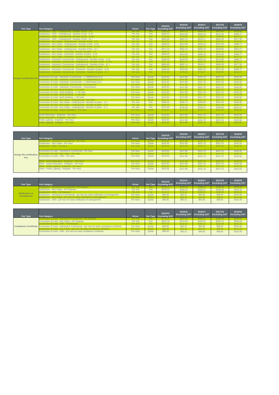| Fee Type                        | <b>Fee Category</b>                                                                                                        | <b>Driver</b>        | Fee Type       | 2014/15<br><b>Excluding GST</b> | 2015/16<br><b>Excluding GST</b>        | 2016/17<br><b>Excluding GST</b> | 2017/18<br><b>Excluding GST</b> | 2018/19<br><b>Excluding GST</b> |
|---------------------------------|----------------------------------------------------------------------------------------------------------------------------|----------------------|----------------|---------------------------------|----------------------------------------|---------------------------------|---------------------------------|---------------------------------|
|                                 | Subdivision - URD - Underground - Number of lots - 1-5                                                                     | Per Job              | Fee            | \$285.62                        | \$295.72                               | \$303.40                        | \$314.44                        | \$325.85                        |
|                                 | Subdivision - URD - Underground - Number of lots - 6-10<br>Subdivision - URD - Underground - Number of lots - 11-40        | Per Job<br>Per Job   | Fee<br>Fee     | \$428.43<br>\$714.04            | \$443.58<br>\$739.28                   | \$455.10<br>\$758.47            | \$471.66<br>\$786.06            | \$488.77<br>\$814.57            |
|                                 | Subdivision - URD - Underground - Number of lots - 41 +                                                                    | Per Job              | Fee            | \$856.85                        | <b>\$887.14</b>                        | \$910.17                        | \$943.28                        | \$977.50                        |
|                                 | Subdivision - Non Urban - Underground - Number of lots - 1-5                                                               | Per Job              | Fee            | S142.81                         | \$147.86                               | \$151.70                        | \$157.22                        | \$162.92                        |
|                                 | Subdivision - Non Urban - Underground - Number of lots - 6-10                                                              | Per Job              | Fee            | \$428.43                        | \$443.58                               | \$455.10                        | \$471.66                        | \$488.77                        |
|                                 | Subdivision - Non Urban - Underground - Number of lots - 11-40                                                             | Per Job              | Fee            | \$571.24                        | \$591.44                               | \$606,79                        | \$628.86                        | \$651.67                        |
|                                 | Subdivision - Non Urban - Underground - Number of lots - 41 +                                                              | Per Job              | Fee            | \$571.24                        | \$591.44                               | \$606.79                        | \$628.86                        | \$651.67                        |
|                                 | Subdivision - Non Urban - Overhead - Number of poles - 1-5<br>Subdivision - Non Urban - Overhead - Number of poles - 6-10  | Per Job              | Fee<br>Fee     | \$285.62<br>\$428.43            | \$295.72                               | \$303.40                        | \$314.44<br>\$471.66            | \$325.85<br>\$488.77            |
|                                 | Subdivision - Non Urban - Overhead - Number of poles - 11 +                                                                | Per Job<br>Per Job   | Fee:           | \$714.04                        | \$443.58<br><b>\$739.28</b>            | \$455.10<br><b>\$758.47</b>     | \$786.06                        | \$814.57                        |
|                                 | Subdivision - Industrial / Commercial - Underground - Number of lots - 1-10                                                | Per Job              | Fee            | \$428.43                        | \$443.58                               | \$455.10                        | \$471.66                        | \$488.77                        |
|                                 | Subdivision - Industrial / Commercial - Underground - Number of lots - 11-40                                               | Per Job              | Fee            | \$571.24                        | \$591.44                               | \$606.79                        | \$628.86                        | \$651.67                        |
|                                 | Subdivision - Industrial / Commercial - Underground - Number of lots - 41 +                                                | Per Job              | Fee            | \$856.85                        | \$887.14                               | \$910.17                        | \$943.28                        | \$977.50                        |
|                                 | Subdivision - Industrial / Commercial - Overhead - Number of poles - 1-5                                                   | Per Job              | Fee            | \$285.62                        | \$295.72                               | \$303.40                        | \$314.44                        | \$325.85                        |
|                                 | Subdivision - Industrial / Commercial - Overhead - Number of poles - 6-10                                                  | Per Job              | Fee            | \$428.43                        | \$443.58                               | \$455.10                        | \$471.66                        | \$488.77                        |
|                                 | Subdivision - Industrial / Commercial - Overhead - Number of poles - 11 +                                                  | Per Job              | Fee            | S714.04                         | <b>\$739.28</b>                        | <b>\$758.47</b>                 | \$786.06                        | \$814.57                        |
|                                 | Connection of Load - Industrial / Commercial - <= 200A/Phase (LV)                                                          | Per Hour             | Quote          | \$142.81                        | <b>\$147.86</b>                        | \$151,70                        | \$157.22                        | \$162.92                        |
| <b>Design Certification Fee</b> | Connection of Load - Industrial / Commercial - <= 700A/Phase (LV)                                                          | Per Hour             | Quote          | S142.81                         | \$147.86                               | \$151.70                        | \$157.22                        | \$162.92                        |
|                                 | Connection of Load - Industrial / Commercial - > 700A/Phase (LV)                                                           | Per Hour             | Quote          | \$142.81                        | \$147.86                               | \$151.70                        | \$157.22                        | \$162.92                        |
|                                 | Connection of Load - Industrial / Commercial - HV Customer                                                                 | Per Hour             | Quote          | \$142.81                        | \$147.86                               | \$151.70                        | \$157.22                        | \$162.92                        |
|                                 | Connection of Load - Industrial / Commercial - Transmission<br>Connection of Load - Multi-Dwelling - $\leq$ 5 units        | Per Hour<br>Per Hour | Quote<br>Quote | \$142.81<br>\$142.81            | <b>\$147.86</b><br>S <sub>147.86</sub> | \$151.70<br>\$151.70            | \$157.22<br>\$157.22            | \$162.92<br>\$162.92            |
|                                 | Connection of Load - Multi-Dwelling - <= 20 units                                                                          | Per Hour             | Quote          | <b>\$142.81</b>                 | \$147.86                               | \$151.70                        | \$157.22                        | \$162.92                        |
|                                 | Connection of Load - Multi-Dwelling - <= 40 units                                                                          | Per Hour             | Quote          | \$142.81                        | \$147.86                               | \$151.70                        | \$157.22                        | \$162.92                        |
|                                 | Connection of Load - Multi-Dwelling - > 40 units                                                                           | Per Hour             | Quote          | \$142.81                        | <b>\$147.86</b>                        | \$151.70                        | \$157.22                        | \$162.92                        |
|                                 | Connection of Load - Non Urban - Underground - Per Hour                                                                    | Per Hour             | Quote          | S142.81                         | \$147.86                               | \$151.70                        | \$157.22                        | \$162.92                        |
|                                 | Connection of Load - Non Urban - Underground - Number of poles - 1-5                                                       | Per Job              | Fee            | \$285.62                        | \$295.72                               | \$303.40                        | \$314.44                        | \$325.85                        |
|                                 | Connection of Load - Non Urban - Underground - Number of poles - 6-10                                                      | Per Job              | Fee            | \$428.43                        | \$443.58                               | \$455.10                        | \$471.66                        | \$488.77                        |
|                                 | Connection of Load - Non Urban - Underground - Number of poles - 11 +<br>Connection of Load - Indoor Substation - Per Hour | Per Job<br>Per Hour  | Fee<br>Quote   | \$714.04<br>S142.81             | \$739.28<br>S <sub>147.86</sub>        | <b>\$758.47</b><br>\$151.70     | \$786.06<br>\$157.22            | \$814.57<br>\$162.92            |
|                                 |                                                                                                                            |                      |                |                                 |                                        |                                 |                                 |                                 |
|                                 | Asset Relocation - Engineer - Per Hour                                                                                     | Per Hour             | Quote          | \$142.81                        | <b>\$147.86</b>                        | \$151.70                        | \$157.22                        | \$162.92                        |
|                                 | <b>Asset Relocation - Designer - Per Hour</b>                                                                              | Per Hour             | Quote          | S142.81                         | \$147.86                               | \$151.70                        | \$157.22                        | \$162.92                        |
|                                 | Public Lighting - Engineer - Per Hour                                                                                      | Per Hour             | Quote          | \$142.81                        | <b>\$147.86</b>                        | \$151.70                        | \$157.22                        | \$162.92                        |
|                                 | Public Lighting - Designer - Per Hour                                                                                      | Per Hour             | Quote          | S142.81                         | S <sub>147.86</sub>                    | \$151.70                        | \$157.22                        | \$162.92                        |

| Fee Type                       | <b>Fee Category</b>                                     | <b>Driver</b> | Fee Type | 2014/15<br><b>Excluding GST</b> | 2015/16<br><b>Excluding GST</b> | 2016/17<br><b>Excluding GST</b> | 2017/18<br><b>Excluding GST</b> | 2018/19<br><b>Excluding GST</b> |
|--------------------------------|---------------------------------------------------------|---------------|----------|---------------------------------|---------------------------------|---------------------------------|---------------------------------|---------------------------------|
|                                | ubdivision - Industrial & Commercial - Per Hour         | Per Hour      | Quote    | \$142.81                        | \$147.86                        | \$151.70                        | \$157.22                        | \$162.92                        |
|                                | Subdivision - Non Urban - Per Hour                      | Per Hour      | Quote    | S142.81                         | \$147.86                        | \$151.70                        | \$157.22                        | \$162.92                        |
|                                | Subdivision - URD - Per Hour                            | Per Hour      | Quote    | S142.81                         | \$147.86                        | \$151,70                        | \$157.22                        | \$162.92                        |
|                                | Connection of Load - Industrial & Commercial - Per Hour | Per Hour      | Quote    | S142.81                         | \$147.86                        | \$151.70                        | \$157.22                        | \$162.92                        |
| <b>Design Re-certification</b> | onnection of Load - Non Urban - Per Hour                | Per Hour      | Quote    | S142.81                         | \$147.86                        | \$151.70                        | \$157.22                        | \$162.92                        |
| Fee                            | Connection of Load - URD - Per Hour                     | Per Hour      | Quote    | S142.81                         | S <sub>147.86</sub>             | \$151.70                        | \$157.22                        | \$162.92                        |
|                                | ther - Asset Relocation - Engineer - Per Hour           | Per Hour      | Quote    | \$142.81                        | \$147.86                        | \$151.70                        | \$157.22                        | \$162.92                        |
|                                | Other - Asset Relocation - Designer - Per Hour          | Per Hour      | Quote    | S142.81                         | \$147.86                        | \$151.70                        | \$157.22                        | \$162.92                        |
|                                | Other - Public Lighting - Engineer - Per Hour           | Per Hour      | Quote    | \$142.81                        | \$147.86                        | \$151.70                        | \$157.22                        | \$162.92                        |
|                                | Other - Public Lighting - Designer - Per Hour           | Per Hour      | Quote    | S142.81                         | \$147.86                        | \$151.70                        | \$157.22                        | \$162.92                        |

| Fee Type        | Fee Category                                                                           | <b>Driver</b> |       | 2014/15<br>Fee Type Excluding GST | 2015/16             | 2016/17<br>Excluding GST   Excluding GST   Excluding GST   Excluding GST | 2017/18  | 2018/19  |
|-----------------|----------------------------------------------------------------------------------------|---------------|-------|-----------------------------------|---------------------|--------------------------------------------------------------------------|----------|----------|
|                 | sion - Industrial & Commercial - Per Request                                           | Per Job       | Fee   | \$178.12                          | S <sub>184.42</sub> | \$189.21                                                                 | \$196.09 | \$203.20 |
|                 | Subdivision - Non Urban - Per Request                                                  | Per Job       | Fee   | <b>\$178.12</b>                   | \$184.42            | \$189.21                                                                 | \$196.09 | \$203.20 |
| Notification of | Subdivision - URD - Per Request                                                        | Per Job       | Fee.  | S178.12                           | S184.42             | S189.21                                                                  | \$196.09 | \$203.20 |
|                 | Subdivision - Industrial & Commercial - per hour for early notification of arrangement | Per Hour      | Quote | \$89.06                           | \$92.21             | \$94.60                                                                  | \$98.04  | \$101.60 |
| Arrangement     | ubdivision - Non Urban - per hour for early notification of arrangement                | Per Hour      | Quote | \$89.06                           | \$92.21             | \$94.60                                                                  | \$98.04  | \$101.60 |
|                 | Subdivision - URD - per hour for early notification of arrangement                     | Per Hour      | Quote | \$89,06                           | \$92.21             | \$94.60                                                                  | \$98.04  | \$101.60 |

| Fee Type | <b>Fee Category</b>                                                                                             | <b>Driver</b> |       | 2014/15<br>Fee Type Excluding GST | 2015/16<br><b>Excluding GST</b> | 2016/17  | 2017/18<br>Excluding GST Excluding GST | 2018/19<br><b>Excluding GST</b> |
|----------|-----------------------------------------------------------------------------------------------------------------|---------------|-------|-----------------------------------|---------------------------------|----------|----------------------------------------|---------------------------------|
|          |                                                                                                                 | Per Job       | Fee:  | S <sub>178.12</sub>               | S <sub>184.42</sub>             | \$189.21 | \$196.09                               | \$203.20                        |
|          | Connection of Load - Non Urban - Per Request                                                                    | Per Job       | Fee   | \$267.18                          | \$276.63                        | \$283.81 | \$294.13                               | \$304.80                        |
|          | nnection of Load - URD - Per Request                                                                            | Per Job       | Fee:  | \$178.12                          | \$184.42                        | \$189.21 | \$196.09                               | \$203.20                        |
|          | Compliance Certificate Connection of Load - Industrial & Commercial - per hour for early compliance certificate | Per Hour      | Quote | \$89.06                           | \$92.21                         | \$94.60  | \$98.04                                | \$101.60                        |
|          |                                                                                                                 | Per Hour      | Quote | \$89.06                           | \$92.21                         | \$94.60  | \$98.04                                | \$101.60                        |
|          | Connection of Load - URD - per hour for early compliance certificate                                            | Per Hour      | Quote | \$89.06                           | \$92.21                         | \$94.60  | \$98.04                                | \$101.60                        |
|          |                                                                                                                 |               |       |                                   |                                 |          |                                        |                                 |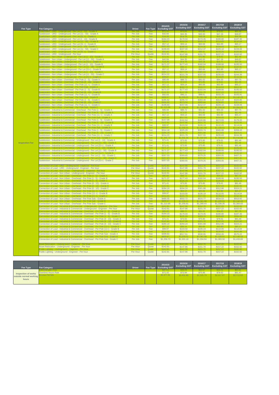| Fee Type              | <b>Fee Category</b>                                                                   | <b>Driver</b> | Fee Type | 2014/15<br><b>Excluding GST</b> | 2015/16<br><b>Excluding GST</b> | 2016/17<br><b>Excluding GST</b> | 2017/18<br><b>Excluding GST</b> | 2018/19<br><b>Excluding GST</b> |
|-----------------------|---------------------------------------------------------------------------------------|---------------|----------|---------------------------------|---------------------------------|---------------------------------|---------------------------------|---------------------------------|
|                       | Subdivision - URD - Underground - Per Lot (11 - 50) - Grade A                         | Per Job       | Fee      | \$42.84                         | \$44.35                         | \$45.50                         | \$47.16                         | \$48.87                         |
|                       | Subdivision - URD - Underground - Per Lot (1 - 10) - Grade B                          | Per Job       | Fee      | \$14.28<br>\$164.23             | \$14.78<br>\$170.04             | \$174.45                        | \$180.80                        | \$187.36                        |
|                       | Subdivision - URD - Underground - Per Lot (51 +) - Grade B                            | Per Job       | Fee      | \$57.12                         | \$59.14                         | \$60.68                         | <b>S6289</b>                    | \$65.17                         |
|                       | Subdivision - URD - Underground - Per Lot (11 - 50) - Grade C                         | Per Job       | Fee      | \$199.93                        | \$207.00                        | \$212.37                        | \$220.10                        | \$228.08                        |
|                       | Subdivision - URD - Underground - Per hour                                            | Per Hour      | Quote    | S <sub>142.81</sub>             | \$147.86                        | \$151.70                        | \$157.22                        | \$162.92                        |
|                       | Subdivision - Non Urban - Underground - Per Lot (11 - 50) - Grade A                   | Per Job       | Fee      | \$42.84                         | \$44.35                         | \$45.50                         | \$47.16                         | \$48.87                         |
|                       | Subdivision - Non Urban - Underground - Per Lot (1 - 10) - Grade B                    | Per Job       | Fee      | \$171.37                        | <b>\$177.43</b>                 | \$182.04                        | \$188,66                        | \$195.50                        |
|                       | Subdivision - Non Urban - Underground - Per Lot (51+) - Grade B                       | Per Job       | Fee      | \$57.12                         | \$59.14                         | \$60,68                         | \$62.89                         | \$65.17                         |
|                       | Subdivision - Non Urban - Underground - Per Lot (11 - 50) - Grade C                   | Per Job       | Fee      | S214.22                         | \$221.79                        | S227.55                         | \$235.83                        | \$244.38                        |
|                       | Subdivision - Non Urban - Overhead - Per Pole (1 - 5) - Grade A                       | Per Job       | Fee      | \$85.69                         | \$88.72                         | \$106.1<br>\$91.02              | \$94.33                         | \$97.75                         |
|                       | Subdivision - Non Urban - Overhead - Per Pole (11 +) - Grade A                        | Per Job       | Fee      | \$57.12                         | \$59,14                         | \$60,68                         | \$62.89                         | \$65.17                         |
|                       | Subdivision - Non Urban - Overhead - Per Pole (1 - 5) - Grade B                       | Per Job       | Fee      | <b>\$171.37</b>                 | \$177.43                        | \$182.04                        | \$188.66                        | \$195.50                        |
|                       | Subdivision - Non Urban - Overhead - Per Pole (11 +) - Grade B                        | Per Job       | Fee:     | \$92.83                         | \$96.11                         | \$98.61                         | \$102.20                        | \$105.91                        |
|                       | Subdivision - Non Urban - Overhead - Per Pole (1 - 5) - Grade C                       | Per Job       | Fee      | \$285.62                        | \$295.72                        | \$303.40                        | \$314.44                        | \$325.85                        |
|                       | Subdivision - Non Urban - Overhead - Per Pole (11 +) - Grade C                        | Per Job       | Fee      | \$199.93                        | \$207.00                        | <b>\$212.37</b>                 | \$220.10                        | \$228.08                        |
|                       | Subdivision - Industrial & Commercial - Overhead - Per Pole (1 - 5) - Grade A         | Per Job       | Fee      | \$85.69                         | \$88.72                         | \$91.02                         | \$94.33                         | 1.384S<br>\$97.75               |
|                       | Subdivision - Industrial & Commercial - Overhead - Per Pole (11 +) - Grade A          | Per Job       | Fee      | \$57.12                         | \$59.14                         | \$60,68                         | \$62.89                         | \$65.17                         |
|                       | Subdivision - Industrial & Commercial - Overhead - Per Pole (1 - 5) - Grade B         | Per Job       | Fee      | \$157.09                        | \$517.5<br>\$162.64             | \$530.9<br>\$166.86             | \$172.93                        | \$179.20                        |
|                       | Subdivision - Industrial & Commercial - Overhead - Per Pole (11 +) - Grade B          | Per Job       | Fee      | \$99.97                         | \$103.50                        | \$106.19                        | \$110.05                        | \$114.04                        |
|                       | Subdivision - Industrial & Commercial - Overhead - Per Pole (1 - 5) - Grade C         | Per Job       | Fee      | \$314.18                        | \$325.29                        | \$333.74                        | \$345.88                        | \$358.43                        |
|                       | Subdivision - Industrial & Commercial - Overhead - Per Pole (11 +) - Grade C          | Per Job       | Fee      | <b>\$214.22</b>                 | \$221.79                        | \$227.55                        | \$235.83                        | \$244.38                        |
|                       | Subdivision - Industrial & Commercial - Underground - Per Lot (1 - 10) - Grade A      | Per Job       | Fee      | \$71.41                         | 31.301<br>\$73.93               | \$75.85                         | \$78.61                         | \$81.46                         |
| <b>Inspection Fee</b> | Subdivision - Industrial & Commercial - Underground - Per Lot (51+) - Grade A         | Per Job       | Fee      | \$71.41                         | \$73.93                         | \$75.85                         | \$78.61                         | \$81.46                         |
|                       | Subdivision - Industrial & Commercial - Underground - Per Lot (11 - 50) - Grade B     | Per Job       | Fee      | \$171.37                        | \$177.43                        | \$182.04                        | \$188.66                        | \$195.50                        |
|                       | Subdivision - Industrial & Commercial - Underground - Per Lot (1 - 10) - Grade C      | Per Job       | Fee      | \$357.03                        | \$369.65                        | \$379.25                        | \$393.05                        | \$407.31                        |
|                       | Subdivision - Industrial & Commercial - Underground - Per Lot (51+) - Grade C         | Per Job       | Fee      | \$357.03                        | \$369.65                        | \$379.25                        | \$393.05                        | \$407.31                        |
|                       | Connection of Load - URD - Underground - Engineer - Per hour                          | Per Hour      | Quote    | \$142.81                        | \$147.86                        | \$151.70                        | \$157.22                        | \$162.92                        |
|                       | Connection of Load - Non Urban - Underground - Engineer - Per hour                    | Per Hour      | Quote    | <b>\$142.81</b>                 | \$147.86<br>\$147.86            | \$151.70                        | \$157.22                        | \$162.92                        |
|                       | Connection of Load - Non Urban - Overhead - Per Pole (1 - 5) - Grade B                | Per Job       | Fee      | \$171.37                        | \$177.43                        | \$182.04                        | \$188.66                        | \$195.50                        |
|                       | Connection of Load - Non Urban - Overhead - Per Pole (6 - 10) - Grade A               | Per Job       | Fee      | \$71.41                         | \$73.93                         | \$75.85                         | \$78.61                         | \$81.46                         |
|                       | Connection of Load - Non Urban - Overhead - Per Pole (6 - 10) - Grade C               | Per Job       | Fee:     | \$284.19                        | \$294.24                        | \$301.88                        | \$312.86                        | \$324.21                        |
|                       | Connection of Load - Non Urban - Overhead - Per Pole (11 +) - Grade B                 | Per Job       | Fee      | \$99.97                         | \$103.50                        | \$106.19                        | \$110.05                        | \$114.04                        |
|                       | Connection of Load - Non Urban - Overhead - Per Pole Sub - Grade A                    | Per Job       | Fee:     | \$485.55                        | \$502.72                        | \$515.77                        | \$534.53                        | \$553.92<br>1 1 1 0 1           |
|                       | Connection of Load - Non Urban - Overhead - Per Pole Sub - Grade C                    | Per Job       | Fee      | \$1,213.89                      | \$1,256.81                      | \$1,289.44                      | \$1,336.35                      | \$1,384.83                      |
|                       | Connection of Load - Industrial & Commercial - Underground - Engineer - Per hour      | Per Hour      | Quote    | <b>\$142.81</b>                 | \$147.86                        | \$151.70                        | \$157.22                        | \$162.92                        |
|                       | Connection of Load - Industrial & Commercial - Overhead - Per Pole (1 - 5) - Grade B  | Per Job       | Fee      | \$164.23                        | \$170.04                        | <b>\$174.45</b>                 | \$180.80                        | \$187.36                        |
|                       | Connection of Load - Industrial & Commercial - Overhead - Per Pole (6 - 10) - Grade A | Per Job       | Fee      | \$71.41                         | \$73.93                         | \$75.85                         | \$78.61                         | \$81,46                         |
|                       | Connection of Load - Industrial & Commercial - Overhead - Per Pole (6 - 10) - Grade C | Per Job       | Fee      | \$284.19                        | \$294.24                        | \$301.88                        | \$312.86                        | \$324.21                        |
|                       | Connection of Load - Industrial & Commercial - Overhead - Per Pole (11+) - Grade B    | Per Job       | Fee      | \$99.97                         | \$103.50                        | \$106.19                        | \$110.05                        | \$114.04                        |
|                       | Connection of Load - Industrial & Commercial - Overhead - Per Pole Sub - Grade A      | Per Job       | Fee      | \$499.84                        | \$517.51                        | \$530.95                        | \$550.26                        | \$570.22                        |
|                       | Connection of Load - Industrial & Commercial - Overhead - Per Pole Sub - Grade C      | Per Job       | Fee      | \$1,256.73                      | \$1,301.16                      | \$1,334.94                      | \$1,383.50                      | \$1,433.69                      |
|                       | Asset Relocation - Underground - Engineer - Per hour                                  | Per Hour      | Quote    | \$142.81                        | \$147.86                        | \$151.70                        | \$157.22                        | \$162.92                        |
|                       | Public Lighting - Underground - Engineer - Per hour                                   | Per Hour      | Quote    | \$142.81                        | <b>\$147.86</b>                 | \$151.70                        | \$157.22                        | \$162.92                        |

| Fee Type                        | <b>Fee Category</b> | <b>Driver</b> | 2014/15<br>Fee Type Excluding GST | 2015/16<br><b>Excluding GST</b> | 2016/17<br><b>Excluding GST</b> Excluding GST Excluding GST | 2017/18    | 2018/19    |
|---------------------------------|---------------------|---------------|-----------------------------------|---------------------------------|-------------------------------------------------------------|------------|------------|
|                                 |                     |               | \$47.61                           | \$49.29                         | \$50.57                                                     | \$52.41    | \$54.31    |
| Inspection of works             | Overtime Hours Rate |               | \$71.42                           | \$73.94                         | \$75.86                                                     | \$78.62    | \$81.47    |
| outside normal working<br>hours | ccess Permits       |               | \$2,377,81                        | \$2,461.88                      | \$2,525.79                                                  | \$2,617.67 | \$2,712.63 |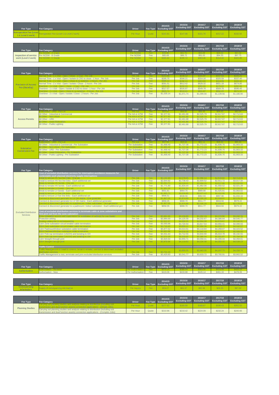| <b>Fee Type</b>                               | <b>Fee Category</b>                                    | <b>Driver</b> | 2014/15<br>Fee Type Excluding GST Excluding GST Excluding GST Excluding GST Excluding GST | 2015/16  | 2016/17  | 2017/18  | 2018/19  |
|-----------------------------------------------|--------------------------------------------------------|---------------|-------------------------------------------------------------------------------------------|----------|----------|----------|----------|
| Reinspection Fee (Level)<br>1 & Level 2 work) | <b>ENReinspection Fee (Level 1 &amp; Level 2 work)</b> | Per Hour      | S <sub>142.81</sub>                                                                       | \$147.86 | \$151.70 | \$157,22 | \$162.92 |

| Fee Type                                 | <b>Fee Category</b> | <b>Driver</b> |      | 2014/15<br>Fee Type Excluding GST | 2015/16  | 2016/17  | 2017/18<br><b>Excluding GST</b> Excluding GST Excluding GST Excluding GST | 2018/19  |
|------------------------------------------|---------------------|---------------|------|-----------------------------------|----------|----------|---------------------------------------------------------------------------|----------|
|                                          | Per NOSW - A Grade  | Per NOSW      | Fee: | \$49.98                           | \$51.75  | \$53.09  | \$55.02                                                                   | \$57.02  |
| Inspection of service Per NOSW - B Grade |                     | Per NOSW      | Fee  | \$85.69                           | \$88.72  | \$91.02  | \$94.33                                                                   | \$97.75  |
| work (Level 2 work) Per NOSW - C Grade   |                     | Per NOSW      | Fee  | \$285.62                          | \$295.72 | \$303.40 | \$314.44                                                                  | \$325.85 |

| Fee Type                   | <b>Fee Category</b>                                                        | <b>Driver</b> |      | 2014/15<br>Fee Type Excluding GST | 2015/16<br><b>Excluding GST</b> | 2016/17<br><b>Excluding GST</b> | 2017/18<br><b>Excluding GST</b> | 2018/19<br><b>Excluding GST</b> |
|----------------------------|----------------------------------------------------------------------------|---------------|------|-----------------------------------|---------------------------------|---------------------------------|---------------------------------|---------------------------------|
|                            | Jormal Time - 1 x Visit - Open / Close - 1 hour - Per Job                  | Per Job       | Fee: | \$143.06                          | \$148.12                        | \$151.97                        | \$157.50                        | \$163.21                        |
|                            | Normal Time - 1 x Visit - Open / Isolate & CSO to close - 1 hour - Per Job | Per Job       | Fee  | <b>\$295.75</b>                   | \$306.21                        | \$314.16                        | \$325.59                        | \$337.40                        |
|                            | Vormal Time - 2 x Visit - Open / Close & no isolation - 2 hours - Per Job  | Per Job       | Fee  | \$286.12                          | S296.24                         | \$303.93                        | \$314.99                        | \$326.42                        |
| <b>Provision of Access</b> | Normal Time - 2 x Visit - Open / Isolate / Close - 2 hours - Per Job       | Per Job       | Fee  | \$591.51                          | <b>\$612.42</b>                 | \$628.32                        | \$651.18                        | \$674.80                        |
|                            | Overtime - 1 x Visit - Open / Close - 1 hour - Per Job                     | Per Job       | Fee: | \$250.35                          | \$259.20                        | \$265.93                        | \$275.60                        | \$285.60                        |
| Fee (Standby)              | Overtime - 1 x Visit - Open / Isolate & CSO to close - 1 hour - Per Job    | Per Job       | Fee  | \$517.57                          | \$535.87                        | \$549.78                        | \$569.78                        | \$590.45                        |
|                            | vertime - 2 x Visit - Open / Close & no isolation - 2 hours - Per Job      | Per Job       | Fee: | \$500.71                          | \$518.41                        | \$531.87                        | \$551.22                        | \$571.22                        |
|                            | Overtime - 2 x Visit - Open / Isolate / Close - 2 hours - Per Job          | Per Job       | Fee: | \$1,035.14                        | \$1,071.74                      | \$1,099.56                      | \$1,139.56                      | \$1,180.90                      |

| Fee Type              | <b>Fee Category</b>                 | <b>Driver</b> |            | 2014/15<br>Fee Type Excluding GST | 2015/16<br><b>Excluding GST</b> | 2016/17    | 2017/18<br><b>Excluding GST</b> Excluding GST Excluding GST | 2018/19    |
|-----------------------|-------------------------------------|---------------|------------|-----------------------------------|---------------------------------|------------|-------------------------------------------------------------|------------|
|                       | division - URD - Per Lot            | Per Lot       | <b>Fee</b> | \$54.91                           | \$56.85                         | \$58.33    | \$60.45                                                     | \$62.64    |
|                       | All Other - Industrial & Commercial | Per AA or ATW | Fee        | \$2,377.81                        | \$2,461.88                      | \$2,525.79 | \$2,617.67                                                  | \$2,712.63 |
|                       | All Other - Non Urban               | Per AA or ATV | Fee        | \$2,377.81                        | \$2,461.88                      | \$2,525.79 | \$2,617.67                                                  | \$2,712.63 |
| <b>Access Permits</b> | All Other - URD                     | Per AA or ATW | Fee        | \$2,377.81                        | \$2,461.88                      | \$2,525.79 | \$2,617.67                                                  | \$2,712.63 |
|                       | <b>Other - Asset Relocation</b>     | Per AA or ATV | Fee        | \$2,377.81                        | \$2,461.88                      | \$2,525.79 | \$2,617.67                                                  | \$2,712.63 |
|                       | All Other - Public Lighting         | Per AA or ATW | Fee        | \$2,377.81                        | \$2,461.88                      | \$2,525.79 | \$2,617.67                                                  | \$2,712.63 |

|                       |                                                      |                |      | 2014/15                | 2015/16              | 2016/17    | 2017/18                                          | 2018/19    |
|-----------------------|------------------------------------------------------|----------------|------|------------------------|----------------------|------------|--------------------------------------------------|------------|
| Fee Type              | <b>Fee Category</b>                                  | <b>Driver</b>  |      | Fee Type Excluding GST | <b>Excluding GST</b> |            | <b>Excluding GST</b> Excluding GST Excluding GST |            |
|                       | I - URD - Per Lot                                    | Per Lot        | Fee: | \$57.53                | \$59.56              | \$61.11    | \$63.33                                          | \$65.63    |
|                       | All Other - Industrial & Commercial - Per Substation | Per Substation | Fee  | \$1,668.40             | \$1,727.38           | \$1,772.23 | \$1,836.70                                       | \$1,903.33 |
| <b>Substation</b>     | Dither - Non Urhan - Per Substation                  | Per Substation | Fee  | \$1,668.40             | \$1,727.38           | \$1,772.23 | \$1,836.70                                       | \$1,903.33 |
| <b>Commission Fee</b> | All Other - URD - Per Substation                     | Per Substation | Fee  | \$1,668.40             | \$1,727.38           | \$1,772.23 | \$1,836.70                                       | \$1,903.33 |
|                       | II Other - Asset Relocation - Per Substation         | Per Substation | Fee  | \$1,668.40             | \$1,727.38           | \$1,772.23 | \$1,836.70                                       | \$1,903.33 |
|                       | All Other - Public Lighting - Per Substation         | Per Substation | Fee  | \$1,668.40             | \$1,727.38           | \$1,772.23 | \$1,836.70                                       | \$1,903.33 |

| Fee Type                                        | <b>Fee Category</b>                                                                                                                                                        | <b>Driver</b>      | Fee Type   | 2014/15<br><b>Excluding GST</b> | 2015/16<br><b>Excluding GST</b> | 2016/17<br><b>Excluding GST</b> | 2017/18<br><b>Excluding GST</b> | 2018/19<br><b>Excluding GST</b> |
|-------------------------------------------------|----------------------------------------------------------------------------------------------------------------------------------------------------------------------------|--------------------|------------|---------------------------------|---------------------------------|---------------------------------|---------------------------------|---------------------------------|
|                                                 | Cost of excluded distribution services for interruption avoidance measures for<br>contestable work planned electricity supply interruptions                                |                    |            |                                 |                                 |                                 |                                 |                                 |
|                                                 | nstall & remove HV live line links - One set                                                                                                                               | Per Job            | Fee        | \$4,132.93                      | \$4,279.05                      | \$4,390.14                      | \$4,549.84                      | \$4,714.89                      |
|                                                 | Install & remove HV live line links - Each additional set<br>Break & remake HV bonds - One set                                                                             | Per Job<br>Per Job | Fee<br>Fee | \$2,644.92<br>\$3,204.71        | \$2,738.43<br>\$3,318.01        | \$2,809.52<br>\$3,404.15        | \$2,911.72<br>\$3,527.98        | \$3,017.34<br>\$3,655.96        |
|                                                 | Break & remake HV bonds - Each additional set                                                                                                                              | Per Job            | Fee        | \$1,771.80                      | \$1,834.44                      | \$1,882.06                      | \$1,950.52                      | \$2,021.28                      |
|                                                 | Break & remake LV bonds - One set                                                                                                                                          | Per Job            | Fee        | \$1,981.00                      | \$2,051.04                      | \$2,104.29                      | \$2,180.84                      | \$2,259.95                      |
|                                                 | Break & remake LV bonds - Each additional set<br>nstall & remove LV live line links - One set                                                                              | Per Job<br>Per Job | Fee<br>Fee | \$931.81<br>\$1,955.71          | \$964.75<br>\$2,024.85          | \$989.80<br>\$2,077.42          | \$1,025.81<br>\$2,152.99        | \$1,063.02<br>\$2,231.09        |
|                                                 | Install & remove LV live line links - Each additional set                                                                                                                  | Per Job            | Fee        | \$906.51                        | \$938.56                        | \$962.93                        | \$997.96                        | \$1,034.16                      |
|                                                 | Connect & disconnect generator to LV OH mains - One generator                                                                                                              | Per Job            | Fee        | \$1,907.55                      | \$1,974.99                      | \$2,026.26                      | \$2.099.97                      | \$2,176.15                      |
|                                                 | Connect & disconnect generator to LV OH mains - Each additional generator                                                                                                  | Per Job            | Fee        | \$858.35                        | \$888.70                        | \$911.77                        | \$944.94                        | \$979.22                        |
|                                                 | Connect & disconnect generator to a padmount / indoor substation - One generator<br>Connect & disconnect generator to a padmount / indoor substation - Each additional gen | Per Job<br>Per Job | Fee<br>Fee | \$1,907.55<br>\$858.35          | \$1,974.99<br>\$888.70          | \$2,026.26<br>\$911.77          | \$2,099.97<br>\$944.94          | \$2,176.15<br>\$979.22          |
| <b>Excluded Distribution</b><br><b>Services</b> | Cost of excluded distribution services to terminate cable at zone substations and<br>first joint out from the zone substation                                              |                    |            |                                 |                                 |                                 |                                 |                                 |
|                                                 | Zone substation access and supervision for installation of cable(s) for one feeder                                                                                         | Per Job            | Fee        | \$3,061.65                      | \$3,169.89                      | \$3,252.19                      | \$3,370.50                      | \$3,492.76                      |
|                                                 | Protection setting<br>Testing cable prior to commissioning                                                                                                                 | Per Job<br>Per Job | Fee<br>Fee | \$3,984.69<br>\$4,523,37        | \$4,125.56<br>\$4,683.29        | \$4,232.67<br>\$4,804.88        | \$4,386.64<br>\$4,979.67        | \$4,545.77<br>\$5,160.31        |
|                                                 | 11kV Zone substation circuit breaker cable termination                                                                                                                     | Per Job            | Fee        | \$3,593.88                      | \$3,720.94                      | \$3,817.54                      | \$3,956.41                      | \$4,099.93                      |
|                                                 | 22kV Zone substation circuit breaker cable termination                                                                                                                     | Per Job            | Fee        | \$3,718.65                      | \$3,850.12                      | \$3,950.08                      | \$4,093.77                      | \$4,242.27                      |
|                                                 | 11kV Padmount/Indoor substation cable termination                                                                                                                          | Per Job            | Fee        | \$3,877.52                      | \$4,014.61                      | \$4,118.84                      | \$4,268.67                      | \$4,423.52                      |
|                                                 | 22kV Padmount/Indoor substation cable termination<br>11kV Pole top termination (UGOH) and bonding to OH                                                                    | Per Job<br>Per Job | Fee<br>Fee | \$4,653,86<br>\$4,551.63        | \$4,818.39<br>\$4,712.55        | \$4,943.48<br>\$4,834.90        | \$5,123,31<br>\$5,010.78        | \$5,309.16<br>\$5,192.55        |
|                                                 | 22kV Pole top termination (UGOH) and bonding to OH                                                                                                                         | Per Job            | Fee        | \$5,070.39                      | \$5,249.65                      | \$5,385.94                      | \$5,581.87                      | \$5,784.35                      |
|                                                 | 11kV Straight through joint                                                                                                                                                | Per Job            | Fee        | \$3,820.64                      | \$3,955.71                      | \$4,058.41                      | \$4,206.04                      | \$4,358.61                      |
|                                                 | 22kV Straight through joint                                                                                                                                                | Per Job            | Fee        | \$3,978.96                      | \$4,119.63                      | \$4,226.58                      | \$4,380.33                      | \$4,539.23                      |
|                                                 | <b>Traffic Control</b>                                                                                                                                                     |                    |            |                                 |                                 |                                 |                                 |                                 |
|                                                 | raffic Management to install & remove, break & remake, connect & disconnect excluded<br>distribution services                                                              | Per Job            | Fee        | \$3,731.33                      | \$3,863.25                      | \$3,963.55                      | \$4,107.73                      | \$4,256.74                      |
|                                                 | Traffic Management to test, terminate and joint excluded distribution services                                                                                             | Per Job            | Fee        | \$3,420.83                      | \$3,541.77                      | \$3,633.72                      | \$3,765.91                      | \$3,902.52                      |

| Fee Type             | <b>Fee Category</b> | <b>Driver</b>     |     | 2014/15<br>Fee Type Excluding GST | 2015/16  | 2016/17 | 2017/18<br>Excluding GST   Excluding GST   Excluding GST   Excluding GST | 2018/19  |
|----------------------|---------------------|-------------------|-----|-----------------------------------|----------|---------|--------------------------------------------------------------------------|----------|
| <b>Authorisation</b> |                     |                   | Fee |                                   | \$389.44 |         | \$414.08                                                                 | \$429.10 |
|                      | Authorisation - New | Per Authorisation | Fee | \$419.06                          | \$433.88 | 445.14  | \$461.33                                                                 | \$478.06 |

| Fee Type             | <b>Fee Category</b> | <b>Driver</b> | 2014/15<br>Fee Type Excluding GST Excluding GST Excluding GST Excluding GST Excluding GST | 2015/16 | 2016/17 | 2017/18 | 2018/19 |
|----------------------|---------------------|---------------|-------------------------------------------------------------------------------------------|---------|---------|---------|---------|
| <b>'nformation's</b> |                     | Per Inquiry   | Fee \$59.27 \$61.37 \$62.96                                                               |         |         | \$65.25 |         |

| Fee Type                | <b>Fee Category</b>                                                                                                                                                   | <b>Driver</b> |       | 2014/15<br>Fee Type Excluding GST | 2015/16  | 2016/17  | 2017/18<br><b>Excluding GST</b> Excluding GST Excluding GST Excluding GST | 2018/19  |
|-------------------------|-----------------------------------------------------------------------------------------------------------------------------------------------------------------------|---------------|-------|-----------------------------------|----------|----------|---------------------------------------------------------------------------|----------|
| <b>Planning Studies</b> |                                                                                                                                                                       | Per Hour      |       | \$177.52                          | \$183,80 | S188.57  | \$195.43                                                                  | \$202.52 |
|                         | Carrying out planning studies and analysis relating to distribution (including sub<br>transmission and dual function assets) connection applications - (Complex Jobs) | Per Hour      | Quote | \$210.96                          | \$218.42 | \$224.09 | \$232.24                                                                  | \$240.66 |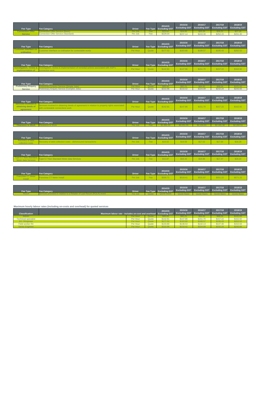| Fee Type                                                | <b>Fee Category</b>                                                                                                              | <b>Driver</b> | <b>Fee Type</b> | 2014/15<br><b>Excluding GST</b> | 2015/16<br><b>Excluding GST</b> | 2016/17<br><b>Excluding GST</b> | 2017/18<br><b>Excluding GST</b> | 2018/19<br><b>Excluding GST</b> |
|---------------------------------------------------------|----------------------------------------------------------------------------------------------------------------------------------|---------------|-----------------|---------------------------------|---------------------------------|---------------------------------|---------------------------------|---------------------------------|
| <b>Connection Offer</b><br><b>Service</b>               | <b>Connection Offer Service (Standard)</b>                                                                                       | Per Job       | Fee             | \$229.04                        | \$237.14                        | \$243.30                        | \$252.15                        | \$261.30                        |
|                                                         |                                                                                                                                  |               |                 |                                 |                                 |                                 |                                 |                                 |
| Fee Type                                                | <b>Fee Category</b>                                                                                                              | <b>Driver</b> | <b>Fee Type</b> | 2014/15<br><b>Excluding GST</b> | 2015/16<br><b>Excluding GST</b> | 2016/17<br><b>Excluding GST</b> | 2017/18<br><b>Excluding GST</b> | 2018/19<br><b>Excluding GST</b> |
| Customer Interface co-<br>ordination                    | Customer Interface co-ordination for contestable works                                                                           | Per Hour      | Quote           | \$177.52                        | \$183.80                        | \$188.57                        | \$195.43                        | \$202.52                        |
|                                                         |                                                                                                                                  |               |                 |                                 |                                 |                                 |                                 |                                 |
| Fee Type                                                | <b>Fee Category</b>                                                                                                              | <b>Driver</b> | Fee Type        | 2014/15<br><b>Excluding GST</b> | 2015/16<br><b>Excluding GST</b> | 2016/17<br><b>Excluding GST</b> | 2017/18<br><b>Excluding GST</b> | 2018/19<br><b>Excluding GST</b> |
| <b>Investigation, review &amp;</b><br>implementation of | nvestigation, review & implementation of remedial actions associated with ASP's<br>connection work                               | Per Hour      | Quote           | <b>\$142.81</b>                 | <b>\$147.86</b>                 | \$151.70                        | \$157.22                        | \$162.92                        |
|                                                         |                                                                                                                                  |               |                 |                                 |                                 |                                 |                                 |                                 |
| Fee Type                                                | <b>Fee Category</b>                                                                                                              | <b>Driver</b> | <b>Fee Type</b> | 2014/15<br><b>Excluding GST</b> | 2015/16<br><b>Excluding GST</b> | 2016/17<br><b>Excluding GST</b> | 2017/18<br><b>Excluding GST</b> | 2018/19<br><b>Excluding GST</b> |
| <b>Preliminary Enquiry</b><br><b>Service</b>            | Preliminary Enquiry Service (Complex Jobs)                                                                                       | Per Hour      | Quote           | \$210.96                        | \$218.42                        | \$224.09                        | \$232.24                        | \$240.66                        |
|                                                         |                                                                                                                                  |               |                 |                                 |                                 |                                 |                                 |                                 |
| Fee Type                                                | <b>Fee Category</b>                                                                                                              | <b>Driver</b> | Fee Type        | 2014/15<br><b>Excluding GST</b> | 2015/16<br><b>Excluding GST</b> | 2016/17<br><b>Excluding GST</b> | 2017/18<br><b>Excluding GST</b> | 2018/19<br><b>Excluding GST</b> |
| Services involved in<br>obtaining deeds of              | Services involved in obtaining deeds of agreement in relation to property rights associated<br>with contestable connections work | Per Hour      | Quote           | \$142.81                        | \$147.86                        | \$151.70                        | \$157.22                        | \$162.92                        |
| agreement                                               |                                                                                                                                  |               |                 |                                 |                                 |                                 |                                 |                                 |
|                                                         |                                                                                                                                  |               |                 |                                 | 2015/16                         | 2016/17                         | 2017/18                         | 2018/19                         |
| Fee Type                                                | <b>Fee Category</b>                                                                                                              | <b>Driver</b> | Fee Type        | 2014/15<br><b>Excluding GST</b> | <b>Excluding GST</b>            | <b>Excluding GST</b>            | <b>Excluding GST</b>            | <b>Excluding GST</b>            |
| <b>Clearance to Work</b>                                | learance to                                                                                                                      | Per Jol       | Fee             | \$1.98                          |                                 | \$2,1                           | <b>\$2,18</b>                   | \$2,26                          |
|                                                         |                                                                                                                                  |               |                 |                                 | 2015/16                         | 2016/17                         | 2017/18                         | 2018/19                         |
| Fee Type                                                | <b>Fee Category</b>                                                                                                              | <b>Driver</b> | <b>Fee Type</b> | 2014/15<br><b>Excluding GST</b> | <b>Excluding GST</b>            | <b>Excluding GST</b>            | <b>Excluding GST</b>            | <b>Excluding GST</b>            |
| Recovery of debt<br>collection costs                    | Recovery of debt collection costs - dishonoured transactions                                                                     | Per Job       | Fee             | \$16.02                         | \$16.59                         | \$17.02                         | \$17.64                         | \$18.28                         |
|                                                         |                                                                                                                                  |               |                 |                                 |                                 |                                 |                                 |                                 |
| Fee Type                                                | <b>Fee Category</b>                                                                                                              | <b>Driver</b> | <b>Fee Type</b> | 2014/15<br><b>Excluding GST</b> | 2015/16<br><b>Excluding GST</b> | 2016/17<br><b>Excluding GST</b> | 2017/18<br><b>Excluding GST</b> | 2018/19<br><b>Excluding GST</b> |
| ype 5-7 Non Standard<br>Meter data Service              | ype 5-7 Non Standard Meter data Services                                                                                         | Per Job       | Fee             | \$15.87                         | \$16.43                         | \$16.86                         | \$17.47                         | \$18.10                         |
|                                                         |                                                                                                                                  |               |                 |                                 |                                 |                                 |                                 |                                 |
| Fee Type                                                | <b>Fee Category</b>                                                                                                              | <b>Driver</b> | <b>Fee Type</b> | 2014/15<br><b>Excluding GST</b> | 2015/16<br><b>Excluding GST</b> | 2016/17<br><b>Excluding GST</b> | 2017/18<br><b>Excluding GST</b> | 2018/19<br><b>Excluding GST</b> |
| Franchise CT Meter<br>Install                           | Franchise CT Meter Install                                                                                                       | Per Job       | Fee             | \$500.71                        | \$518.41                        | \$531.87                        | \$551.22                        | \$571.22                        |
|                                                         |                                                                                                                                  |               |                 |                                 |                                 |                                 |                                 |                                 |
|                                                         |                                                                                                                                  |               |                 | 2014/15                         | 2015/16                         | 2016/17                         | 2017/18                         | 2018/19                         |
| Fee Type                                                | <b>Fee Category</b>                                                                                                              | <b>Driver</b> | Fee Type        | <b>Excluding GST</b>            | <b>Excluding GST</b>            | <b>Excluding GST</b>            | <b>Excluding GST</b>            | <b>Excluding GST</b>            |
|                                                         |                                                                                                                                  |               |                 |                                 |                                 |                                 |                                 |                                 |

| Maximum hourly labour rates (including on-costs and overhead) for quoted services |                                                                              |          |       |          |          |                                                                               |          |          |  |  |  |
|-----------------------------------------------------------------------------------|------------------------------------------------------------------------------|----------|-------|----------|----------|-------------------------------------------------------------------------------|----------|----------|--|--|--|
| <b>Classification</b>                                                             | 2014/15<br>Maximum labour rate - includes on-cost and overhead Excluding GST |          |       |          | 2015/16  | 2016/17<br><b>Excluding GST</b> Excluding GST   Excluding GST   Excluding GST | 2017/18  | 2018/19  |  |  |  |
| Admin                                                                             |                                                                              | Per Hour |       | \$89.06  | \$92.21  | \$94.60                                                                       | \$98.04  | \$101.60 |  |  |  |
| <b>Technical specialist</b>                                                       |                                                                              | Per Hour | Quote | \$142.81 | \$147.86 | \$151.70                                                                      | \$157.22 | \$162.92 |  |  |  |
| EO 7/Engineer                                                                     |                                                                              | Per Hour | Quote | \$177.52 | \$183.80 | \$188.57                                                                      | \$195.43 | \$202.52 |  |  |  |
| Field worker R4                                                                   |                                                                              | Per Hour | Quote | \$133.80 | \$138.53 | <b>\$142.13</b>                                                               | \$147.30 | \$152.64 |  |  |  |
| <b>Senior Engineer</b>                                                            |                                                                              | Per Hour | Quote | \$210.96 | S218.42  | S224.09                                                                       | \$232.24 | \$240.66 |  |  |  |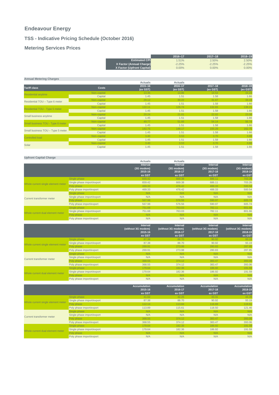#### **Endeavour Energy**

Curr

#### **TSS - Indicative Pricing Schedule (October 2016)**

#### **Metering Services Prices**

|                                    |                            |                                   | 2016-17            | $2017 - 18$        | 2018-19            |
|------------------------------------|----------------------------|-----------------------------------|--------------------|--------------------|--------------------|
|                                    |                            | <b>Estimated CPI</b>              | 1.51%              | 2.50%              | 2.50%              |
|                                    |                            | X Factor (Annual Charge)          | $-2.25%$           | $-2.25%$           | $-2.25%$           |
|                                    |                            | <b>X Factor (Upfront Capital)</b> | 0.00%              | 0.00%              | 0.00%              |
|                                    |                            |                                   |                    |                    |                    |
| <b>Annual Metering Charges</b>     |                            |                                   |                    |                    |                    |
|                                    |                            | <b>Actuals</b>                    | <b>Actuals</b>     |                    |                    |
| <b>Tariff class</b>                | Costs                      | $2015 - 16$                       | 2016-17            | $2017 - 18$        | 2018-19            |
|                                    |                            | (ex GST)                          | (ex GST)           | (ex GST)           | (ex GST)           |
| Residential anytime                | Non-capital                | 13.35                             | 13.86              | 14.53              | 15.23              |
|                                    | Capital                    | 1.45                              | 1.51               | 1.58               | 1.66               |
| Residential TOU - Type 6 meter     | Non-capital                | 29.12                             | 30.22              | 31.67              | 33.19              |
|                                    | Capital                    | 1.45                              | 1.51               | 1.58               | 1.66               |
| Residential TOU - Type 5 meter     | Non-capital                | 122.11                            | 126.74             | 132.83             | 139.21             |
|                                    | Capital                    | 1.45                              | 1.51               | 1.58               | 1.66               |
| Small business anytime             | Non-capital                | 20.24                             | 21.01              | 22.02              | 23.08              |
|                                    | Capital                    | 1.45                              | 1.51               | 1.58               | 1.66               |
| Small business TOU - Type 6 meter  | Non-capital                | 49.77                             | 51.66              | 54.14              | 56.74              |
|                                    | Capital                    | 1.45                              | 1.51               | 1.58               | 1.66               |
| Small business TOU - Type 5 meter  | Non-capital                | 142.75                            | 148.17             | 155.29             | 162.75             |
|                                    | Capital                    | 1.45                              | 1.51               | 1.58               | 1.66               |
| Controlled load                    | Non-capital                | 3.40                              | 3.53               | 3.70               | 3.88               |
|                                    | Capital                    | 1.45                              | 1.51               | 1.58               | 1.66               |
| Solar                              | Non-capital                | 3.40                              | 3.53               | 3.70               | 3.88               |
|                                    | Capital                    | 1.45                              | 1.51               | 1.58               | 1.66               |
| <b>Upfront Capital Charge</b>      |                            |                                   |                    |                    |                    |
|                                    |                            | <b>Actuals</b>                    | <b>Actuals</b>     |                    |                    |
|                                    |                            | Interval                          | Interval           | <b>Interval</b>    | <b>Interval</b>    |
|                                    |                            | (3G modem)                        | (3G modem)         | (3G modem)         | (3G modem)         |
|                                    |                            | 2015-16                           | 2016-17            | 2017-18            | 2018-19            |
|                                    |                            | ex GST                            | ex GST             | ex GST             | ex GST             |
|                                    | Single phase               | 659.42                            | 669.38             | 686.11             | 703.26             |
|                                    | Single phase import/export | 659.42                            | 669.38             | 686.11             | 703.26             |
| Whole current single element meter | Poly phase                 | 469.33                            | 476.42             | 488.33             | 500.54             |
|                                    | Poly phase import/export   | 469.33                            | 476.42             | 488.33             | 500.54             |
|                                    | Single phase               | N/A                               | N/A                | N/A                | N/A                |
|                                    | Single phase import/export | N/A                               | N/A                | N/A                | N/A                |
| <b>Current transformer meter</b>   | Poly phase                 | 567.98                            | 576.56             | 590.97             | 605.74             |
|                                    | Poly phase import/export   | 567.98                            | 576.56             | 590.97             | 605.74             |
|                                    | Single phase               | 751.68                            | 763.03             | 782.11             | 801.66             |
|                                    | Single phase import/export | 751.68                            | 763.03             | 782.11             | 801.66             |
| Whole current dual element meter   | Poly phase                 | N/A                               | N/A                | N/A                | N/A                |
|                                    | Poly phase import/export   | N/A                               | N/A                | N/A                | N/A                |
|                                    |                            | <b>Interval</b>                   | <b>Interval</b>    | Interval           | <b>Interval</b>    |
|                                    |                            | (without 3G modem)                | (without 3G modem) | (without 3G modem) | (without 3G modem) |

|                                    |                            | (WILHOUL JO HIUGHI)<br>2015-16 | <b>TWILLIOUL 30 ILIOUEIII</b><br>2016-17 | <b>INITIOUL 30 INDUCTIL</b><br>2017-18 | <b>(WILHOUT SO HIDGEIN)</b><br>2018-19 |
|------------------------------------|----------------------------|--------------------------------|------------------------------------------|----------------------------------------|----------------------------------------|
|                                    |                            | ex GST                         | ex GST                                   | ex GST                                 | ex GST                                 |
|                                    | Single phase               | 87.38                          | 88.70                                    | 90.92                                  | 93.19                                  |
| Whole current single element meter | Single phase import/export | 87.38                          | 88.70                                    | 90.92                                  | 93.19                                  |
|                                    | Poly phase                 | 269.91                         | 273.98                                   | 280.83                                 | 287.85                                 |
|                                    | Poly phase import/export   | 269.91                         | 273.98                                   | 280.83                                 | 287.85                                 |
|                                    | Single phase               | N/A                            | N/A                                      | N/A                                    | N/A                                    |
| <b>Current transformer meter</b>   | Single phase import/export | N/A                            | N/A                                      | N/A                                    | N/A                                    |
|                                    | Poly phase                 | 368.55                         | 374.12                                   | 383.47                                 | 393.06                                 |
|                                    | Poly phase import/export   | 368.55                         | 374.12                                   | 383.47                                 | 393.06                                 |
|                                    | Single phase               | 179.64                         | 182.36                                   | 186.92                                 | 191.59                                 |
| Whole current dual element meter   | Single phase import/export | 179.64                         | 182.36                                   | 186.92                                 | 191.59                                 |
|                                    | Poly phase                 | N/A                            | N/A                                      | N/A                                    | N/A                                    |
|                                    | Poly phase import/export   | N/A                            | N/A                                      | N/A                                    | N/A                                    |
|                                    |                            |                                |                                          |                                        |                                        |
|                                    |                            | <b>Accumulation</b>            | <b>Accumulation</b>                      | <b>Accumulation</b>                    | <b>Accumulation</b>                    |
|                                    |                            | 2015-16                        | 2016-17                                  | 2017-18                                | 2018-19                                |
|                                    |                            | ex GST                         | ex GST                                   | ex GST                                 | ex GST                                 |
|                                    | Single phase               | 41.62                          | 42.25                                    | 43.31                                  | 44.39                                  |
| Whole current single element meter | Single phase import/export | 87.38                          | 88.70                                    | 90.92                                  | 93.19                                  |
|                                    | Poly phase                 | 112.14                         | 113.84                                   | 116.69                                 | 119.61                                 |

| Whole current single element meter | Single phase import/export | 87.38  | 88.70  | 90.92  | 93.19  |
|------------------------------------|----------------------------|--------|--------|--------|--------|
|                                    | Poly phase                 | 112.14 | 113.84 | 116.69 | 119.61 |
|                                    | Poly phase import/export   | 113.89 | 115.61 | 118.50 | 121.46 |
|                                    | Single phase               | N/A    | N/A    | N/A    | N/A    |
| <b>Current transformer meter</b>   | Single phase import/export | N/A    | N/A    | N/A    | N/A    |
|                                    | Poly phase                 | 368.55 | 374.12 | 383.47 | 393.06 |
|                                    | Poly phase import/export   | 368.55 | 374.12 | 383.47 | 393.06 |
|                                    | Single phase               | 179.64 | 182.36 | 186.92 | 191.59 |
| Whole current dual element meter   | Single phase import/export | 179.64 | 182.36 | 186.92 | 191.59 |
|                                    | Poly phase                 | N/A    | N/A    | N/A    | N/A    |
|                                    | Poly phase import/export   | N/A    | N/A    | N/A    | N/A    |
|                                    |                            |        |        |        |        |